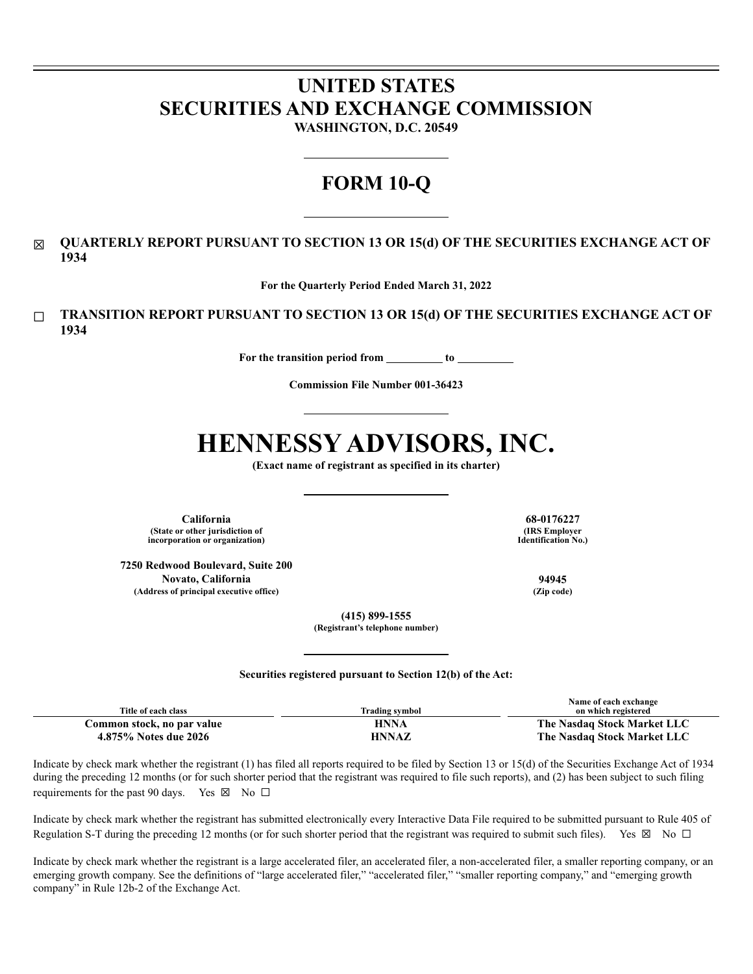# **UNITED STATES SECURITIES AND EXCHANGE COMMISSION**

**WASHINGTON, D.C. 20549**

# **FORM 10-Q**

# ☒ **QUARTERLY REPORT PURSUANT TO SECTION 13 OR 15(d) OF THE SECURITIES EXCHANGE ACT OF 1934**

**For the Quarterly Period Ended March 31, 2022**

☐ **TRANSITION REPORT PURSUANT TO SECTION 13 OR 15(d) OF THE SECURITIES EXCHANGE ACT OF 1934**

For the transition period from \_\_\_\_\_\_\_\_\_\_ to \_\_

**Commission File Number 001-36423**

# **HENNESSY ADVISORS, INC.**

**(Exact name of registrant as specified in its charter)**

**California 68-0176227 (State or other jurisdiction of incorporation or organization)**

**7250 Redwood Boulevard, Suite 200 Novato, California 94945 (Address of principal executive office) (Zip code)**

**(IRS Employer Identification No.)**

**(415) 899-1555 (Registrant's telephone number)**

**Securities registered pursuant to Section 12(b) of the Act:**

| Title of each class        | <b>Trading symbol</b> | Name of each exchange<br>on which registered |
|----------------------------|-----------------------|----------------------------------------------|
| Common stock, no par value | HNNA                  | The Nasdaq Stock Market LLC                  |
| 4.875% Notes due 2026      | <b>HNNAZ</b>          | The Nasdaq Stock Market LLC                  |

Indicate by check mark whether the registrant (1) has filed all reports required to be filed by Section 13 or 15(d) of the Securities Exchange Act of 1934 during the preceding 12 months (or for such shorter period that the registrant was required to file such reports), and (2) has been subject to such filing requirements for the past 90 days. Yes  $\boxtimes$  No  $\Box$ 

Indicate by check mark whether the registrant has submitted electronically every Interactive Data File required to be submitted pursuant to Rule 405 of Regulation S-T during the preceding 12 months (or for such shorter period that the registrant was required to submit such files). Yes  $\boxtimes$  No  $\Box$ 

Indicate by check mark whether the registrant is a large accelerated filer, an accelerated filer, a non-accelerated filer, a smaller reporting company, or an emerging growth company. See the definitions of "large accelerated filer," "accelerated filer," "smaller reporting company," and "emerging growth company" in Rule 12b-2 of the Exchange Act.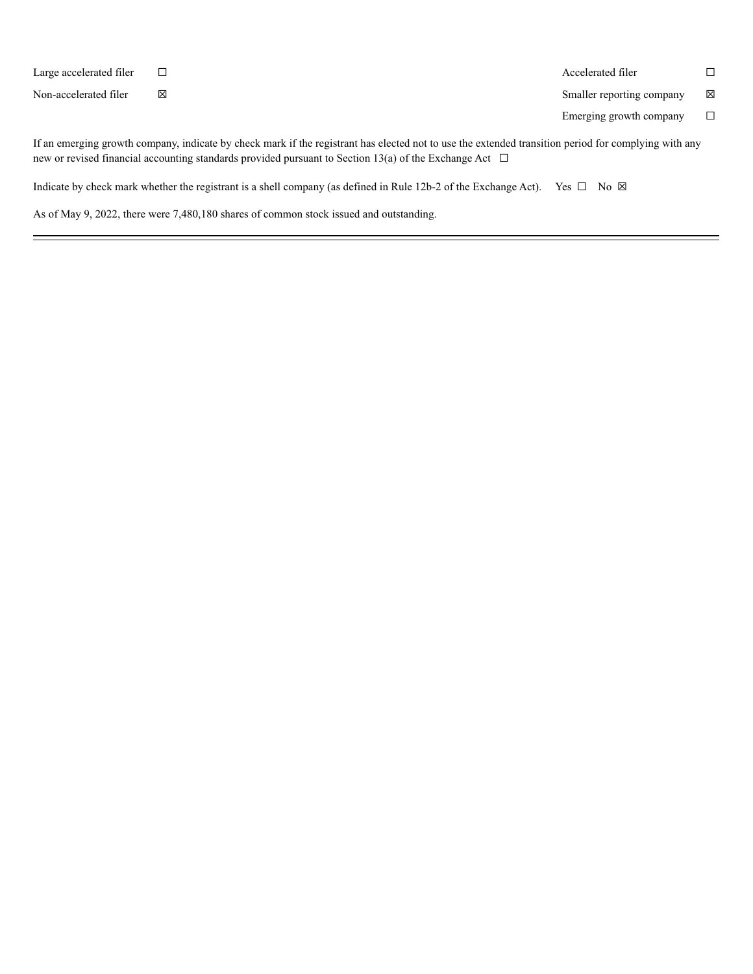| Large accelerated filer | $\Box$ | Accelerated filer         |             |
|-------------------------|--------|---------------------------|-------------|
| Non-accelerated filer   | ×      | Smaller reporting company | $\boxtimes$ |
|                         |        | Emerging growth company   | $\Box$      |

If an emerging growth company, indicate by check mark if the registrant has elected not to use the extended transition period for complying with any new or revised financial accounting standards provided pursuant to Section 13(a) of the Exchange Act  $\Box$ 

Indicate by check mark whether the registrant is a shell company (as defined in Rule 12b-2 of the Exchange Act). Yes  $\Box$  No  $\boxtimes$ 

As of May 9, 2022, there were 7,480,180 shares of common stock issued and outstanding.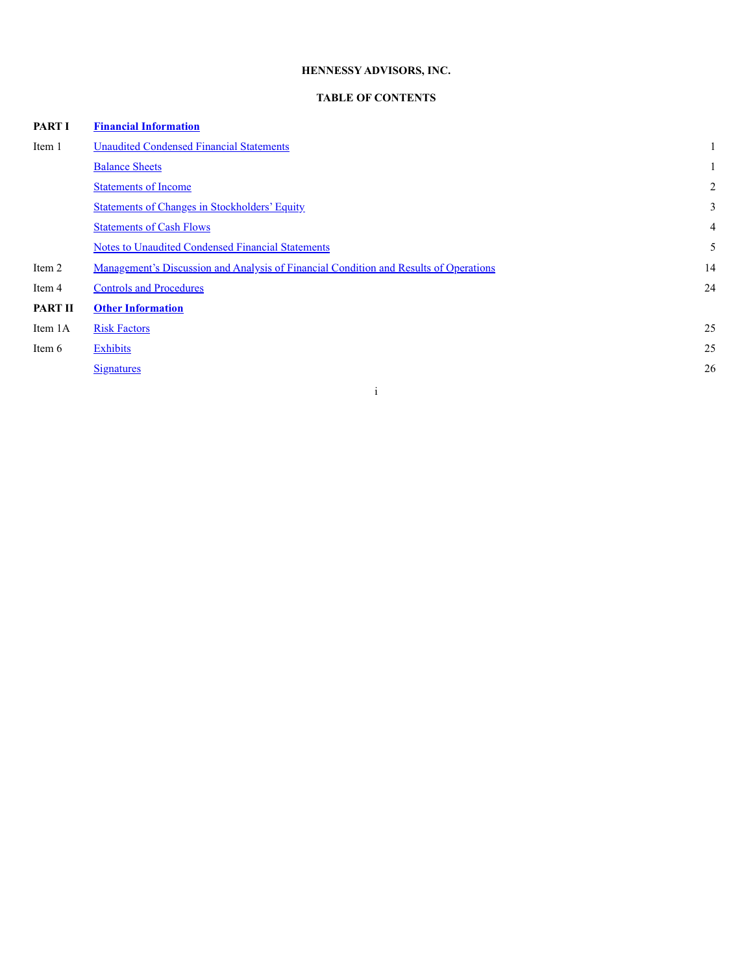# **HENNESSY ADVISORS, INC.**

# **TABLE OF CONTENTS**

| <b>PART I</b>  | <b>Financial Information</b>                                                                 |                |
|----------------|----------------------------------------------------------------------------------------------|----------------|
| Item 1         | <b>Unaudited Condensed Financial Statements</b>                                              |                |
|                | <b>Balance Sheets</b>                                                                        |                |
|                | <b>Statements of Income</b>                                                                  | $\overline{2}$ |
|                | <b>Statements of Changes in Stockholders' Equity</b>                                         | $\mathfrak{Z}$ |
|                | <b>Statements of Cash Flows</b>                                                              | 4              |
|                | <b>Notes to Unaudited Condensed Financial Statements</b>                                     | 5              |
| Item 2         | <u>Management's Discussion and Analysis of Financial Condition and Results of Operations</u> | 14             |
| Item 4         | <b>Controls and Procedures</b>                                                               | 24             |
| <b>PART II</b> | <b>Other Information</b>                                                                     |                |
| Item 1A        | <b>Risk Factors</b>                                                                          | 25             |
| Item 6         | <b>Exhibits</b>                                                                              | 25             |
|                | <b>Signatures</b>                                                                            | 26             |
|                | $\mathbf{1}$                                                                                 |                |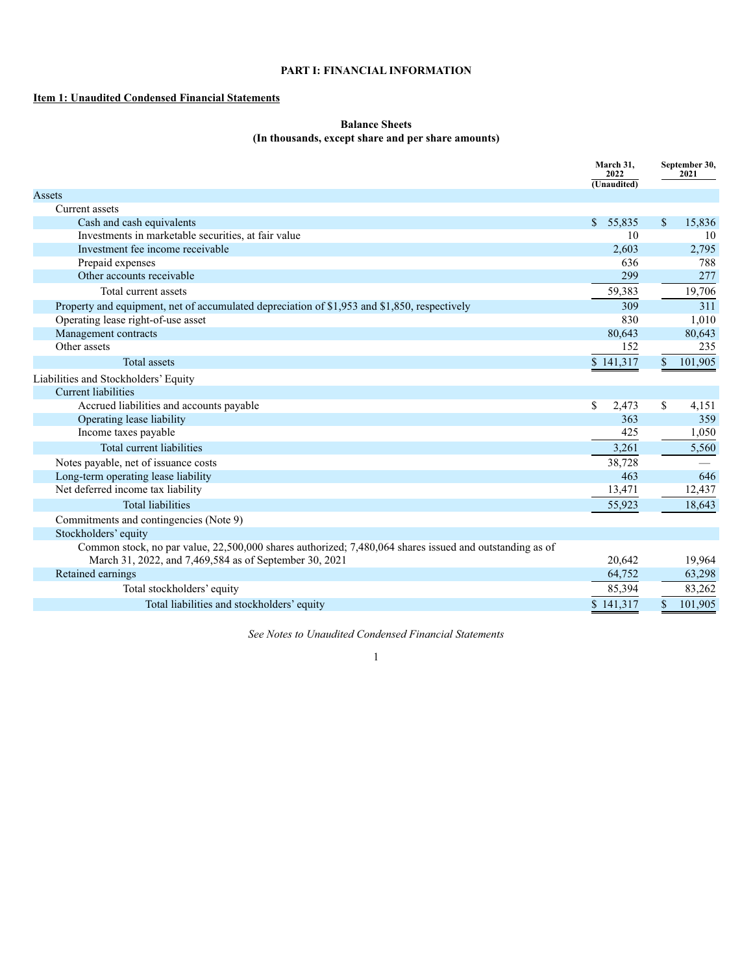# **PART I: FINANCIAL INFORMATION**

# **Item 1: Unaudited Condensed Financial Statements**

# **Balance Sheets (In thousands, except share and per share amounts)**

|                                                                                                         | March 31,<br>2022<br>(Unaudited) | September 30,<br>2021   |
|---------------------------------------------------------------------------------------------------------|----------------------------------|-------------------------|
| Assets                                                                                                  |                                  |                         |
| Current assets                                                                                          |                                  |                         |
| Cash and cash equivalents                                                                               | $\mathbb{S}$<br>55,835           | \$<br>15,836            |
| Investments in marketable securities, at fair value                                                     | 10                               | 10                      |
| Investment fee income receivable                                                                        | 2,603                            | 2,795                   |
| Prepaid expenses                                                                                        | 636                              | 788                     |
| Other accounts receivable                                                                               | 299                              | 277                     |
| Total current assets                                                                                    | 59,383                           | 19,706                  |
| Property and equipment, net of accumulated depreciation of \$1,953 and \$1,850, respectively            | 309                              | 311                     |
| Operating lease right-of-use asset                                                                      | 830                              | 1,010                   |
| Management contracts                                                                                    | 80,643                           | 80,643                  |
| Other assets                                                                                            | 152                              | 235                     |
| Total assets                                                                                            | \$141,317                        | $\mathbb{S}$<br>101,905 |
| Liabilities and Stockholders' Equity                                                                    |                                  |                         |
| Current liabilities                                                                                     |                                  |                         |
| Accrued liabilities and accounts payable                                                                | \$<br>2,473                      | \$<br>4,151             |
| Operating lease liability                                                                               | 363                              | 359                     |
| Income taxes payable                                                                                    | 425                              | 1,050                   |
| Total current liabilities                                                                               | 3,261                            | 5,560                   |
| Notes payable, net of issuance costs                                                                    | 38,728                           |                         |
| Long-term operating lease liability                                                                     | 463                              | 646                     |
| Net deferred income tax liability                                                                       | 13,471                           | 12,437                  |
| <b>Total liabilities</b>                                                                                | 55,923                           | 18.643                  |
| Commitments and contingencies (Note 9)                                                                  |                                  |                         |
| Stockholders' equity                                                                                    |                                  |                         |
| Common stock, no par value, 22,500,000 shares authorized; 7,480,064 shares issued and outstanding as of |                                  |                         |
| March 31, 2022, and 7,469,584 as of September 30, 2021                                                  | 20,642                           | 19,964                  |
| Retained earnings                                                                                       | 64,752                           | 63,298                  |
| Total stockholders' equity                                                                              | 85,394                           | 83,262                  |
| Total liabilities and stockholders' equity                                                              | \$141,317                        | $\mathbf{s}$<br>101,905 |

*See Notes to Unaudited Condensed Financial Statements*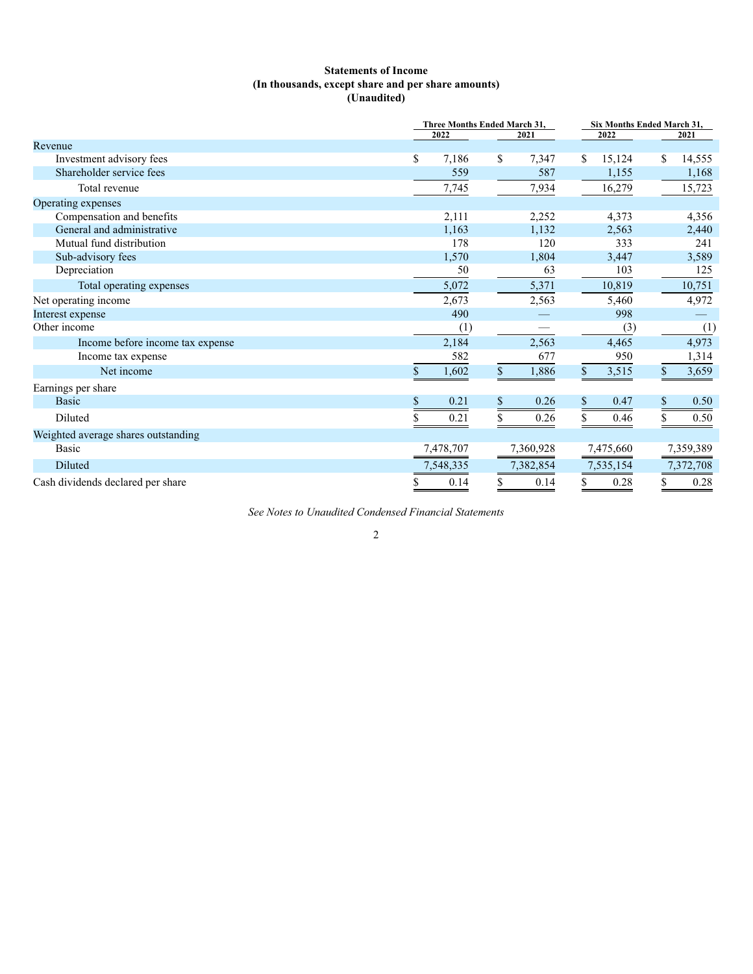# **Statements of Income (In thousands, except share and per share amounts) (Unaudited)**

|                                     |              | Three Months Ended March 31,<br>2022<br>2021 |               | Six Months Ended March 31,<br>2022 |              | 2021      |              |
|-------------------------------------|--------------|----------------------------------------------|---------------|------------------------------------|--------------|-----------|--------------|
| Revenue                             |              |                                              |               |                                    |              |           |              |
| Investment advisory fees            | \$           | 7,186                                        | \$            | 7,347                              | \$           | 15,124    | \$<br>14,555 |
| Shareholder service fees            |              | 559                                          |               | 587                                |              | 1,155     | 1,168        |
| Total revenue                       |              | 7,745                                        |               | 7,934                              |              | 16,279    | 15,723       |
| Operating expenses                  |              |                                              |               |                                    |              |           |              |
| Compensation and benefits           |              | 2,111                                        |               | 2,252                              |              | 4,373     | 4,356        |
| General and administrative          |              | 1,163                                        |               | 1,132                              |              | 2,563     | 2,440        |
| Mutual fund distribution            |              | 178                                          |               | 120                                |              | 333       | 241          |
| Sub-advisory fees                   |              | 1,570                                        |               | 1,804                              |              | 3,447     | 3,589        |
| Depreciation                        |              | 50                                           |               | 63                                 |              | 103       | 125          |
| Total operating expenses            |              | 5,072                                        |               | 5,371                              |              | 10,819    | 10,751       |
| Net operating income                |              | 2,673                                        |               | 2,563                              |              | 5,460     | 4,972        |
| Interest expense                    |              | 490                                          |               |                                    |              | 998       |              |
| Other income                        |              | (1)                                          |               |                                    |              | (3)       | (1)          |
| Income before income tax expense    |              | 2,184                                        |               | 2,563                              |              | 4,465     | 4,973        |
| Income tax expense                  |              | 582                                          |               | 677                                |              | 950       | 1,314        |
| Net income                          | \$           | 1,602                                        | $\mathbb{S}$  | 1,886                              | $\mathbb{S}$ | 3,515     | \$<br>3,659  |
| Earnings per share                  |              |                                              |               |                                    |              |           |              |
| <b>Basic</b>                        | $\mathbb{S}$ | 0.21                                         | <sup>\$</sup> | 0.26                               | $\mathbb{S}$ | 0.47      | \$<br>0.50   |
| Diluted                             | \$           | 0.21                                         | \$            | 0.26                               | \$           | 0.46      | 0.50         |
| Weighted average shares outstanding |              |                                              |               |                                    |              |           |              |
| Basic                               |              | 7,478,707                                    |               | 7,360,928                          |              | 7,475,660 | 7,359,389    |
| Diluted                             |              | 7,548,335                                    |               | 7,382,854                          |              | 7,535,154 | 7,372,708    |
| Cash dividends declared per share   | S            | 0.14                                         | \$            | 0.14                               |              | 0.28      | 0.28         |

*See Notes to Unaudited Condensed Financial Statements*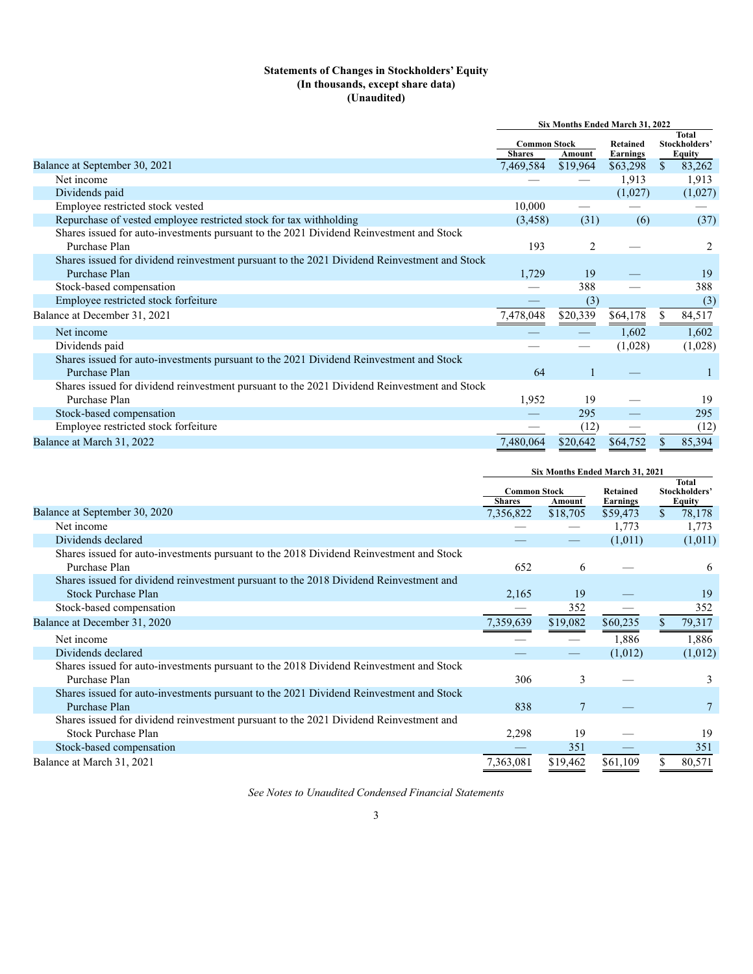#### **Statements of Changes in Stockholders' Equity (In thousands, except share data) (Unaudited)**

|                                                                                              | Six Months Ended March 31, 2022 |                |          |                        |
|----------------------------------------------------------------------------------------------|---------------------------------|----------------|----------|------------------------|
|                                                                                              | <b>Common Stock</b>             |                | Retained | Total<br>Stockholders' |
|                                                                                              | <b>Shares</b>                   | Amount         | Earnings | Equity                 |
| Balance at September 30, 2021                                                                | 7,469,584                       | \$19,964       | \$63,298 | $\mathbb{S}$<br>83,262 |
| Net income                                                                                   |                                 |                | 1,913    | 1,913                  |
| Dividends paid                                                                               |                                 |                | (1,027)  | (1,027)                |
| Employee restricted stock vested                                                             | 10,000                          |                |          |                        |
| Repurchase of vested employee restricted stock for tax withholding                           | (3,458)                         | (31)           | (6)      | (37)                   |
| Shares issued for auto-investments pursuant to the 2021 Dividend Reinvestment and Stock      |                                 |                |          |                        |
| Purchase Plan                                                                                | 193                             | $\overline{c}$ |          | 2                      |
| Shares issued for dividend reinvestment pursuant to the 2021 Dividend Reinvestment and Stock |                                 |                |          |                        |
| Purchase Plan                                                                                | 1,729                           | 19             |          | 19                     |
| Stock-based compensation                                                                     |                                 | 388            |          | 388                    |
| Employee restricted stock forfeiture                                                         |                                 | (3)            |          | (3)                    |
| Balance at December 31, 2021                                                                 | 7,478,048                       | \$20,339       | \$64,178 | 84,517<br>S.           |
| Net income                                                                                   |                                 |                | 1,602    | 1,602                  |
| Dividends paid                                                                               |                                 |                | (1,028)  | (1,028)                |
| Shares issued for auto-investments pursuant to the 2021 Dividend Reinvestment and Stock      |                                 |                |          |                        |
| Purchase Plan                                                                                | 64                              |                |          |                        |
| Shares issued for dividend reinvestment pursuant to the 2021 Dividend Reinvestment and Stock |                                 |                |          |                        |
| Purchase Plan                                                                                | 1,952                           | 19             |          | 19                     |
| Stock-based compensation                                                                     |                                 | 295            |          | 295                    |
| Employee restricted stock forfeiture                                                         |                                 | (12)           |          | (12)                   |
| Balance at March 31, 2022                                                                    | 7,480,064                       | \$20,642       | \$64,752 | 85,394<br>\$           |

|                                                                                                                      | Six Months Ended March 31, 2021 |          |                 |                               |         |
|----------------------------------------------------------------------------------------------------------------------|---------------------------------|----------|-----------------|-------------------------------|---------|
|                                                                                                                      | <b>Common Stock</b>             |          | Retained        | <b>Total</b><br>Stockholders' |         |
|                                                                                                                      | <b>Shares</b>                   | Amount   | <b>Earnings</b> | Equity                        |         |
| Balance at September 30, 2020                                                                                        | 7,356,822                       | \$18,705 | \$59,473        | $\mathbb{S}$                  | 78,178  |
| Net income                                                                                                           |                                 |          | 1,773           |                               | 1,773   |
| Dividends declared                                                                                                   |                                 |          | (1,011)         |                               | (1,011) |
| Shares issued for auto-investments pursuant to the 2018 Dividend Reinvestment and Stock<br>Purchase Plan             | 652                             | 6        |                 |                               | 6       |
| Shares issued for dividend reinvestment pursuant to the 2018 Dividend Reinvestment and                               |                                 |          |                 |                               |         |
| <b>Stock Purchase Plan</b>                                                                                           | 2,165                           | 19       |                 |                               | 19      |
| Stock-based compensation                                                                                             |                                 | 352      |                 |                               | 352     |
| Balance at December 31, 2020                                                                                         | 7,359,639                       | \$19,082 | \$60,235        | \$                            | 79,317  |
| Net income                                                                                                           |                                 |          | 1,886           |                               | 1,886   |
| Dividends declared                                                                                                   |                                 |          | (1,012)         |                               | (1,012) |
| Shares issued for auto-investments pursuant to the 2018 Dividend Reinvestment and Stock<br>Purchase Plan             | 306                             | 3        |                 |                               | 3       |
| Shares issued for auto-investments pursuant to the 2021 Dividend Reinvestment and Stock<br>Purchase Plan             | 838                             | 7        |                 |                               | $\tau$  |
| Shares issued for dividend reinvestment pursuant to the 2021 Dividend Reinvestment and<br><b>Stock Purchase Plan</b> | 2,298                           | 19       |                 |                               | 19      |
| Stock-based compensation                                                                                             |                                 | 351      |                 |                               | 351     |
| Balance at March 31, 2021                                                                                            | 7,363,081                       | \$19,462 | \$61,109        | \$                            | 80,571  |

*See Notes to Unaudited Condensed Financial Statements*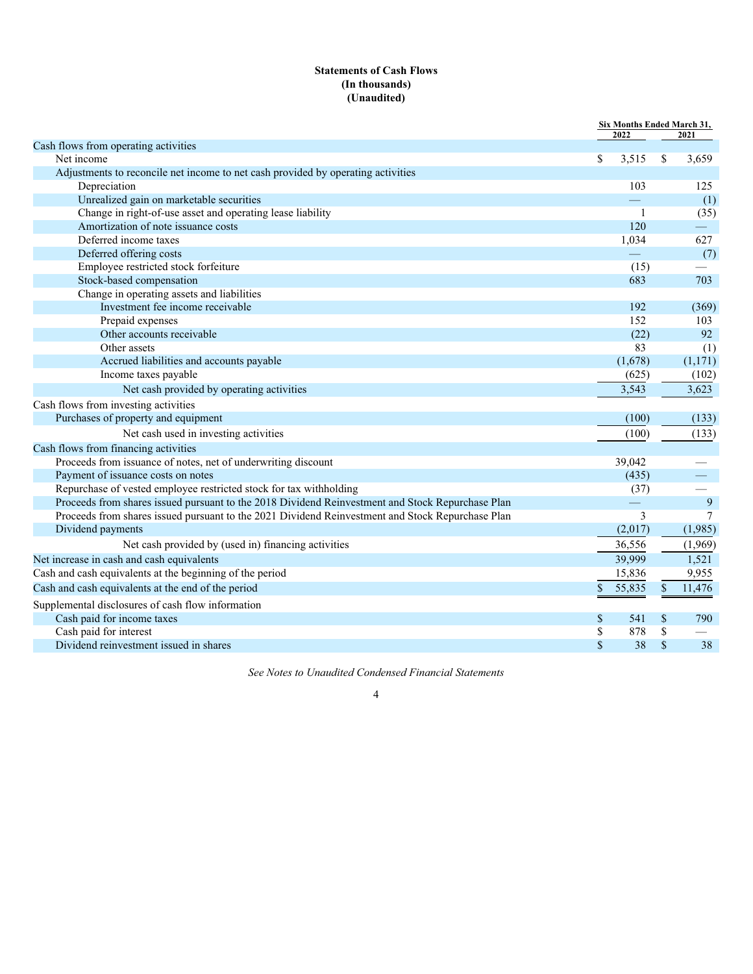# **Statements of Cash Flows (In thousands) (Unaudited)**

|                                                                                                  | Six Months Ended March 31, |                          |              |                |
|--------------------------------------------------------------------------------------------------|----------------------------|--------------------------|--------------|----------------|
| Cash flows from operating activities                                                             |                            | 2022                     |              | 2021           |
| Net income                                                                                       | \$                         | 3,515                    | \$           | 3,659          |
| Adjustments to reconcile net income to net cash provided by operating activities                 |                            |                          |              |                |
| Depreciation                                                                                     |                            | 103                      |              | 125            |
| Unrealized gain on marketable securities                                                         |                            | $\overline{\phantom{0}}$ |              | (1)            |
| Change in right-of-use asset and operating lease liability                                       |                            | $\overline{1}$           |              | (35)           |
| Amortization of note issuance costs                                                              |                            | 120                      |              | ÷.             |
| Deferred income taxes                                                                            |                            | 1,034                    |              | 627            |
| Deferred offering costs                                                                          |                            |                          |              | (7)            |
| Employee restricted stock forfeiture                                                             |                            | (15)                     |              |                |
| Stock-based compensation                                                                         |                            | 683                      |              | 703            |
| Change in operating assets and liabilities                                                       |                            |                          |              |                |
| Investment fee income receivable                                                                 |                            | 192                      |              | (369)          |
| Prepaid expenses                                                                                 |                            | 152                      |              | 103            |
| Other accounts receivable                                                                        |                            | (22)                     |              | 92             |
| Other assets                                                                                     |                            | 83                       |              | (1)            |
| Accrued liabilities and accounts payable                                                         |                            | (1,678)                  |              | (1,171)        |
| Income taxes payable                                                                             |                            | (625)                    |              | (102)          |
| Net cash provided by operating activities                                                        |                            | 3,543                    |              | 3,623          |
| Cash flows from investing activities                                                             |                            |                          |              |                |
| Purchases of property and equipment                                                              |                            | (100)                    |              | (133)          |
| Net cash used in investing activities                                                            |                            | (100)                    |              | (133)          |
| Cash flows from financing activities                                                             |                            |                          |              |                |
| Proceeds from issuance of notes, net of underwriting discount                                    |                            | 39,042                   |              |                |
| Payment of issuance costs on notes                                                               |                            | (435)                    |              |                |
| Repurchase of vested employee restricted stock for tax withholding                               |                            | (37)                     |              |                |
| Proceeds from shares issued pursuant to the 2018 Dividend Reinvestment and Stock Repurchase Plan |                            |                          |              | $\overline{9}$ |
| Proceeds from shares issued pursuant to the 2021 Dividend Reinvestment and Stock Repurchase Plan |                            | 3                        |              | $\tau$         |
| Dividend payments                                                                                |                            | (2,017)                  |              | (1,985)        |
| Net cash provided by (used in) financing activities                                              |                            | 36,556                   |              | (1,969)        |
| Net increase in cash and cash equivalents                                                        |                            | 39,999                   |              | 1,521          |
| Cash and cash equivalents at the beginning of the period                                         |                            | 15,836                   |              | 9,955          |
| Cash and cash equivalents at the end of the period                                               | $\mathbb{S}$               | 55,835                   | $\mathbb{S}$ | 11,476         |
| Supplemental disclosures of cash flow information                                                |                            |                          |              |                |
| Cash paid for income taxes                                                                       | \$                         | 541                      | \$           | 790            |
| Cash paid for interest                                                                           | \$                         | 878                      | \$           |                |
| Dividend reinvestment issued in shares                                                           | \$                         | 38                       | $\mathbf S$  | 38             |

*See Notes to Unaudited Condensed Financial Statements*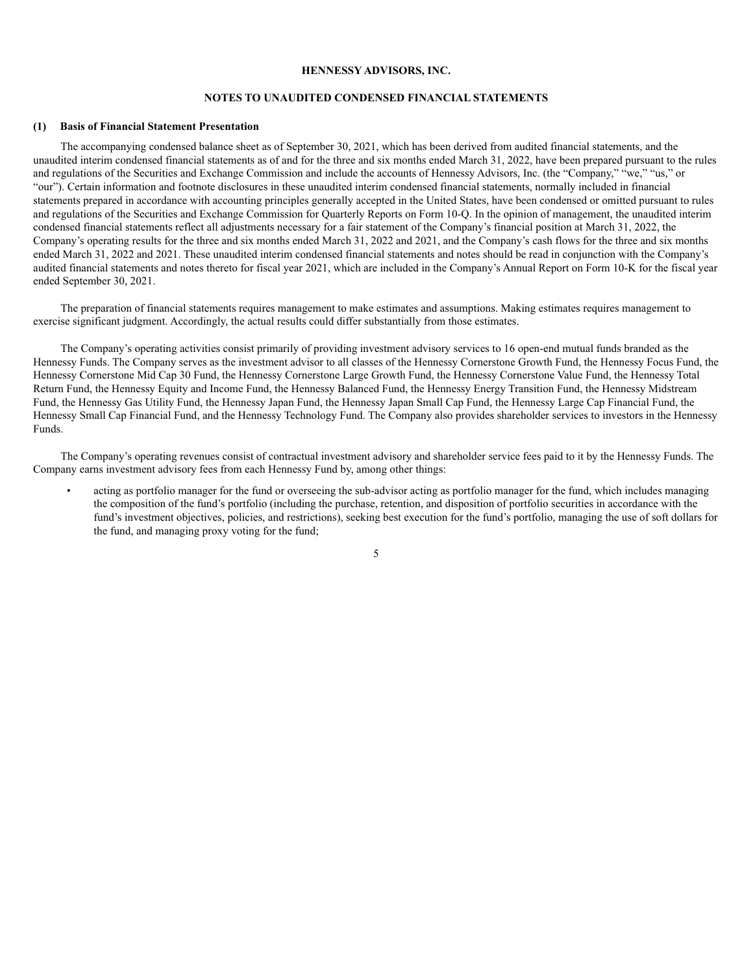#### **HENNESSY ADVISORS, INC.**

#### **NOTES TO UNAUDITED CONDENSED FINANCIAL STATEMENTS**

#### **(1) Basis of Financial Statement Presentation**

The accompanying condensed balance sheet as of September 30, 2021, which has been derived from audited financial statements, and the unaudited interim condensed financial statements as of and for the three and six months ended March 31, 2022, have been prepared pursuant to the rules and regulations of the Securities and Exchange Commission and include the accounts of Hennessy Advisors, Inc. (the "Company," "we," "us," or "our"). Certain information and footnote disclosures in these unaudited interim condensed financial statements, normally included in financial statements prepared in accordance with accounting principles generally accepted in the United States, have been condensed or omitted pursuant to rules and regulations of the Securities and Exchange Commission for Quarterly Reports on Form 10-Q. In the opinion of management, the unaudited interim condensed financial statements reflect all adjustments necessary for a fair statement of the Company's financial position at March 31, 2022, the Company's operating results for the three and six months ended March 31, 2022 and 2021, and the Company's cash flows for the three and six months ended March 31, 2022 and 2021. These unaudited interim condensed financial statements and notes should be read in conjunction with the Company's audited financial statements and notes thereto for fiscal year 2021, which are included in the Company's Annual Report on Form 10-K for the fiscal year ended September 30, 2021.

The preparation of financial statements requires management to make estimates and assumptions. Making estimates requires management to exercise significant judgment. Accordingly, the actual results could differ substantially from those estimates.

The Company's operating activities consist primarily of providing investment advisory services to 16 open-end mutual funds branded as the Hennessy Funds. The Company serves as the investment advisor to all classes of the Hennessy Cornerstone Growth Fund, the Hennessy Focus Fund, the Hennessy Cornerstone Mid Cap 30 Fund, the Hennessy Cornerstone Large Growth Fund, the Hennessy Cornerstone Value Fund, the Hennessy Total Return Fund, the Hennessy Equity and Income Fund, the Hennessy Balanced Fund, the Hennessy Energy Transition Fund, the Hennessy Midstream Fund, the Hennessy Gas Utility Fund, the Hennessy Japan Fund, the Hennessy Japan Small Cap Fund, the Hennessy Large Cap Financial Fund, the Hennessy Small Cap Financial Fund, and the Hennessy Technology Fund. The Company also provides shareholder services to investors in the Hennessy Funds.

The Company's operating revenues consist of contractual investment advisory and shareholder service fees paid to it by the Hennessy Funds. The Company earns investment advisory fees from each Hennessy Fund by, among other things:

• acting as portfolio manager for the fund or overseeing the sub-advisor acting as portfolio manager for the fund, which includes managing the composition of the fund's portfolio (including the purchase, retention, and disposition of portfolio securities in accordance with the fund's investment objectives, policies, and restrictions), seeking best execution for the fund's portfolio, managing the use of soft dollars for the fund, and managing proxy voting for the fund;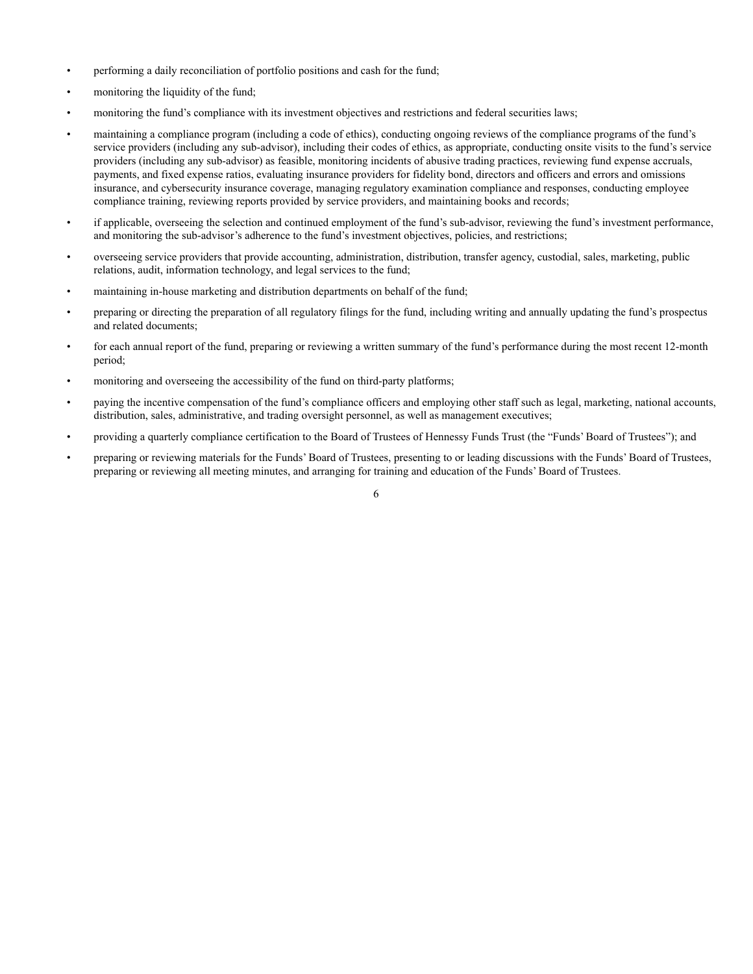- performing a daily reconciliation of portfolio positions and cash for the fund;
- monitoring the liquidity of the fund;
- monitoring the fund's compliance with its investment objectives and restrictions and federal securities laws;
- maintaining a compliance program (including a code of ethics), conducting ongoing reviews of the compliance programs of the fund's service providers (including any sub-advisor), including their codes of ethics, as appropriate, conducting onsite visits to the fund's service providers (including any sub-advisor) as feasible, monitoring incidents of abusive trading practices, reviewing fund expense accruals, payments, and fixed expense ratios, evaluating insurance providers for fidelity bond, directors and officers and errors and omissions insurance, and cybersecurity insurance coverage, managing regulatory examination compliance and responses, conducting employee compliance training, reviewing reports provided by service providers, and maintaining books and records;
- if applicable, overseeing the selection and continued employment of the fund's sub-advisor, reviewing the fund's investment performance, and monitoring the sub-advisor's adherence to the fund's investment objectives, policies, and restrictions;
- overseeing service providers that provide accounting, administration, distribution, transfer agency, custodial, sales, marketing, public relations, audit, information technology, and legal services to the fund;
- maintaining in-house marketing and distribution departments on behalf of the fund;
- preparing or directing the preparation of all regulatory filings for the fund, including writing and annually updating the fund's prospectus and related documents;
- for each annual report of the fund, preparing or reviewing a written summary of the fund's performance during the most recent 12-month period;
- monitoring and overseeing the accessibility of the fund on third-party platforms;
- paying the incentive compensation of the fund's compliance officers and employing other staff such as legal, marketing, national accounts, distribution, sales, administrative, and trading oversight personnel, as well as management executives;
- providing a quarterly compliance certification to the Board of Trustees of Hennessy Funds Trust (the "Funds' Board of Trustees"); and
- preparing or reviewing materials for the Funds' Board of Trustees, presenting to or leading discussions with the Funds' Board of Trustees, preparing or reviewing all meeting minutes, and arranging for training and education of the Funds' Board of Trustees.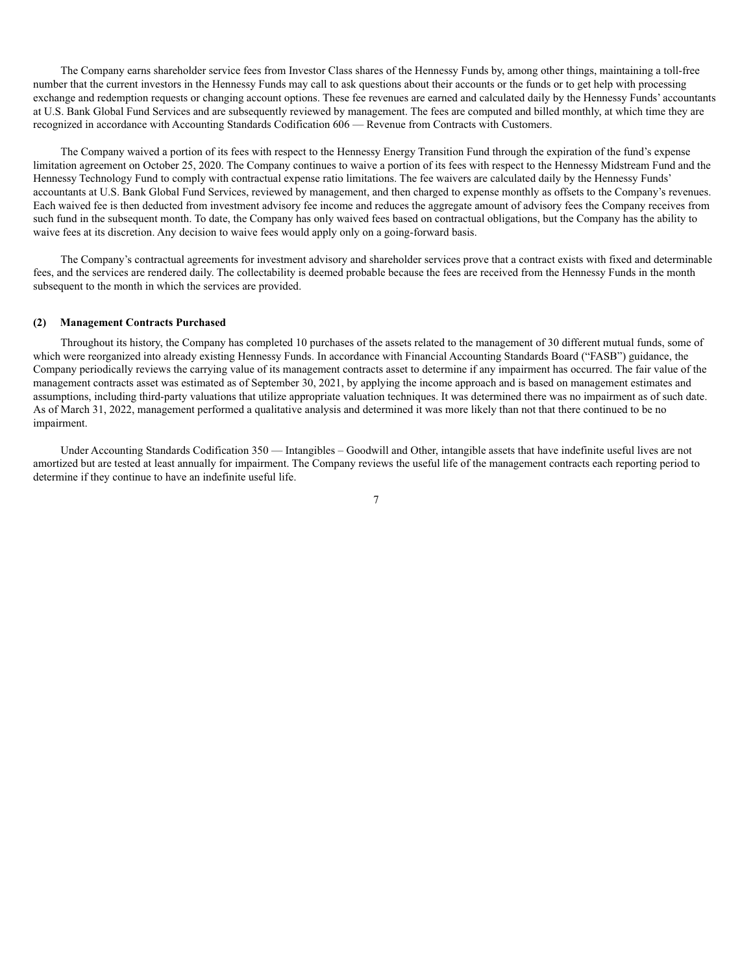The Company earns shareholder service fees from Investor Class shares of the Hennessy Funds by, among other things, maintaining a toll-free number that the current investors in the Hennessy Funds may call to ask questions about their accounts or the funds or to get help with processing exchange and redemption requests or changing account options. These fee revenues are earned and calculated daily by the Hennessy Funds' accountants at U.S. Bank Global Fund Services and are subsequently reviewed by management. The fees are computed and billed monthly, at which time they are recognized in accordance with Accounting Standards Codification 606 — Revenue from Contracts with Customers.

The Company waived a portion of its fees with respect to the Hennessy Energy Transition Fund through the expiration of the fund's expense limitation agreement on October 25, 2020. The Company continues to waive a portion of its fees with respect to the Hennessy Midstream Fund and the Hennessy Technology Fund to comply with contractual expense ratio limitations. The fee waivers are calculated daily by the Hennessy Funds' accountants at U.S. Bank Global Fund Services, reviewed by management, and then charged to expense monthly as offsets to the Company's revenues. Each waived fee is then deducted from investment advisory fee income and reduces the aggregate amount of advisory fees the Company receives from such fund in the subsequent month. To date, the Company has only waived fees based on contractual obligations, but the Company has the ability to waive fees at its discretion. Any decision to waive fees would apply only on a going-forward basis.

The Company's contractual agreements for investment advisory and shareholder services prove that a contract exists with fixed and determinable fees, and the services are rendered daily. The collectability is deemed probable because the fees are received from the Hennessy Funds in the month subsequent to the month in which the services are provided.

#### **(2) Management Contracts Purchased**

Throughout its history, the Company has completed 10 purchases of the assets related to the management of 30 different mutual funds, some of which were reorganized into already existing Hennessy Funds. In accordance with Financial Accounting Standards Board ("FASB") guidance, the Company periodically reviews the carrying value of its management contracts asset to determine if any impairment has occurred. The fair value of the management contracts asset was estimated as of September 30, 2021, by applying the income approach and is based on management estimates and assumptions, including third-party valuations that utilize appropriate valuation techniques. It was determined there was no impairment as of such date. As of March 31, 2022, management performed a qualitative analysis and determined it was more likely than not that there continued to be no impairment.

Under Accounting Standards Codification 350 — Intangibles – Goodwill and Other, intangible assets that have indefinite useful lives are not amortized but are tested at least annually for impairment. The Company reviews the useful life of the management contracts each reporting period to determine if they continue to have an indefinite useful life.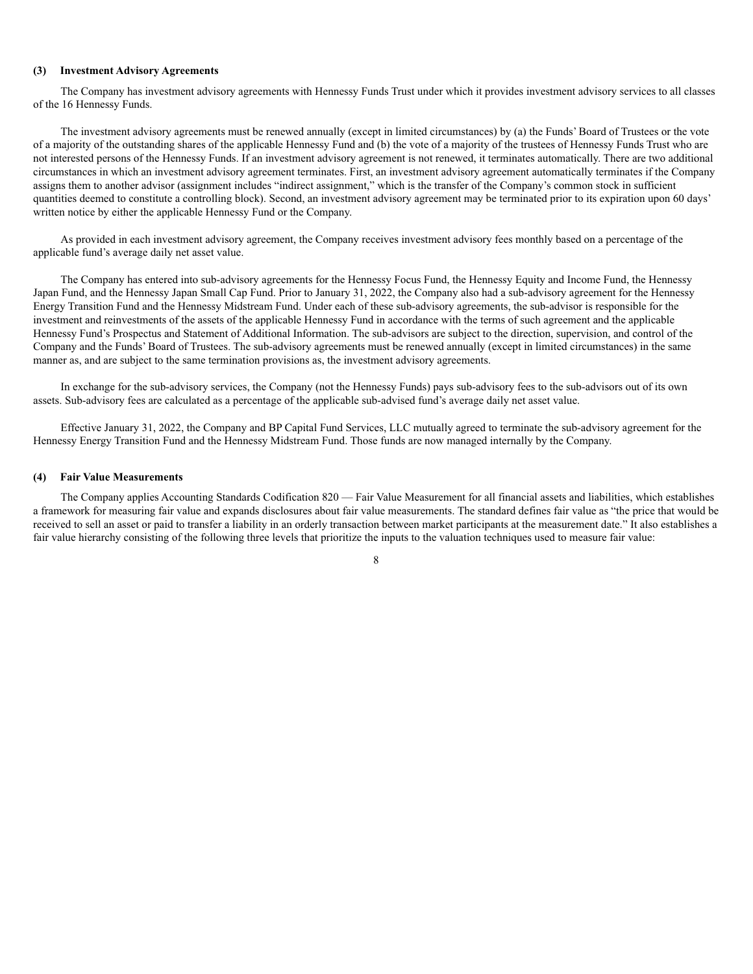#### **(3) Investment Advisory Agreements**

The Company has investment advisory agreements with Hennessy Funds Trust under which it provides investment advisory services to all classes of the 16 Hennessy Funds.

The investment advisory agreements must be renewed annually (except in limited circumstances) by (a) the Funds' Board of Trustees or the vote of a majority of the outstanding shares of the applicable Hennessy Fund and (b) the vote of a majority of the trustees of Hennessy Funds Trust who are not interested persons of the Hennessy Funds. If an investment advisory agreement is not renewed, it terminates automatically. There are two additional circumstances in which an investment advisory agreement terminates. First, an investment advisory agreement automatically terminates if the Company assigns them to another advisor (assignment includes "indirect assignment," which is the transfer of the Company's common stock in sufficient quantities deemed to constitute a controlling block). Second, an investment advisory agreement may be terminated prior to its expiration upon 60 days' written notice by either the applicable Hennessy Fund or the Company.

As provided in each investment advisory agreement, the Company receives investment advisory fees monthly based on a percentage of the applicable fund's average daily net asset value.

The Company has entered into sub-advisory agreements for the Hennessy Focus Fund, the Hennessy Equity and Income Fund, the Hennessy Japan Fund, and the Hennessy Japan Small Cap Fund. Prior to January 31, 2022, the Company also had a sub-advisory agreement for the Hennessy Energy Transition Fund and the Hennessy Midstream Fund. Under each of these sub-advisory agreements, the sub-advisor is responsible for the investment and reinvestments of the assets of the applicable Hennessy Fund in accordance with the terms of such agreement and the applicable Hennessy Fund's Prospectus and Statement of Additional Information. The sub-advisors are subject to the direction, supervision, and control of the Company and the Funds' Board of Trustees. The sub-advisory agreements must be renewed annually (except in limited circumstances) in the same manner as, and are subject to the same termination provisions as, the investment advisory agreements.

In exchange for the sub-advisory services, the Company (not the Hennessy Funds) pays sub-advisory fees to the sub-advisors out of its own assets. Sub-advisory fees are calculated as a percentage of the applicable sub-advised fund's average daily net asset value.

Effective January 31, 2022, the Company and BP Capital Fund Services, LLC mutually agreed to terminate the sub-advisory agreement for the Hennessy Energy Transition Fund and the Hennessy Midstream Fund. Those funds are now managed internally by the Company.

#### **(4) Fair Value Measurements**

The Company applies Accounting Standards Codification 820 — Fair Value Measurement for all financial assets and liabilities, which establishes a framework for measuring fair value and expands disclosures about fair value measurements. The standard defines fair value as "the price that would be received to sell an asset or paid to transfer a liability in an orderly transaction between market participants at the measurement date." It also establishes a fair value hierarchy consisting of the following three levels that prioritize the inputs to the valuation techniques used to measure fair value: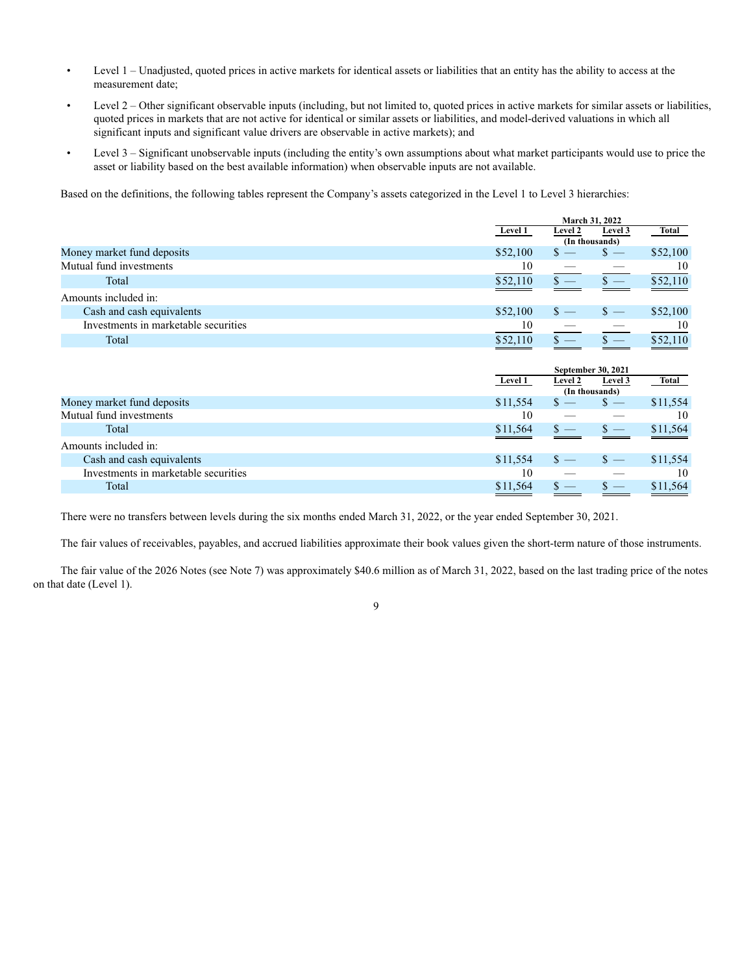- Level 1 Unadjusted, quoted prices in active markets for identical assets or liabilities that an entity has the ability to access at the measurement date;
- Level 2 Other significant observable inputs (including, but not limited to, quoted prices in active markets for similar assets or liabilities, quoted prices in markets that are not active for identical or similar assets or liabilities, and model-derived valuations in which all significant inputs and significant value drivers are observable in active markets); and
- Level 3 Significant unobservable inputs (including the entity's own assumptions about what market participants would use to price the asset or liability based on the best available information) when observable inputs are not available.

Based on the definitions, the following tables represent the Company's assets categorized in the Level 1 to Level 3 hierarchies:

|                                      |          | March 31, 2022 |                    |          |  |
|--------------------------------------|----------|----------------|--------------------|----------|--|
|                                      | Level 1  | Level 2        | Level 3            | Total    |  |
|                                      |          |                | (In thousands)     |          |  |
| Money market fund deposits           | \$52,100 | $\mathbf{s}$ — | $\mathsf{s}$ —     | \$52,100 |  |
| Mutual fund investments              | 10       |                |                    | 10       |  |
| Total                                | \$52,110 | $\mathsf{s}$ — |                    | \$52,110 |  |
| Amounts included in:                 |          |                |                    |          |  |
| Cash and cash equivalents            | \$52,100 | $\mathsf{s}$ — |                    | \$52,100 |  |
| Investments in marketable securities | 10       |                |                    | 10       |  |
| Total                                | \$52,110 |                |                    | \$52,110 |  |
|                                      |          |                |                    |          |  |
|                                      |          |                |                    |          |  |
|                                      |          |                | September 30, 2021 |          |  |
|                                      | Level 1  | Level 2        | Level 3            | Total    |  |
|                                      |          |                | (In thousands)     |          |  |
| Money market fund deposits           | \$11,554 | $\mathbf{s} =$ | $\mathsf{s}$ —     | \$11,554 |  |
| Mutual fund investments              | 10       |                |                    | 10       |  |
| Total                                | \$11,564 |                |                    | \$11,564 |  |
| Amounts included in:                 |          |                |                    |          |  |
| Cash and cash equivalents            | \$11,554 | $\mathbf{s} =$ | $\mathsf{s}$ —     | \$11,554 |  |
| Investments in marketable securities | 10       |                |                    | 10       |  |
| Total                                | \$11,564 |                |                    | \$11,564 |  |
|                                      |          |                |                    |          |  |

There were no transfers between levels during the six months ended March 31, 2022, or the year ended September 30, 2021.

The fair values of receivables, payables, and accrued liabilities approximate their book values given the short-term nature of those instruments.

The fair value of the 2026 Notes (see Note 7) was approximately \$40.6 million as of March 31, 2022, based on the last trading price of the notes on that date (Level 1).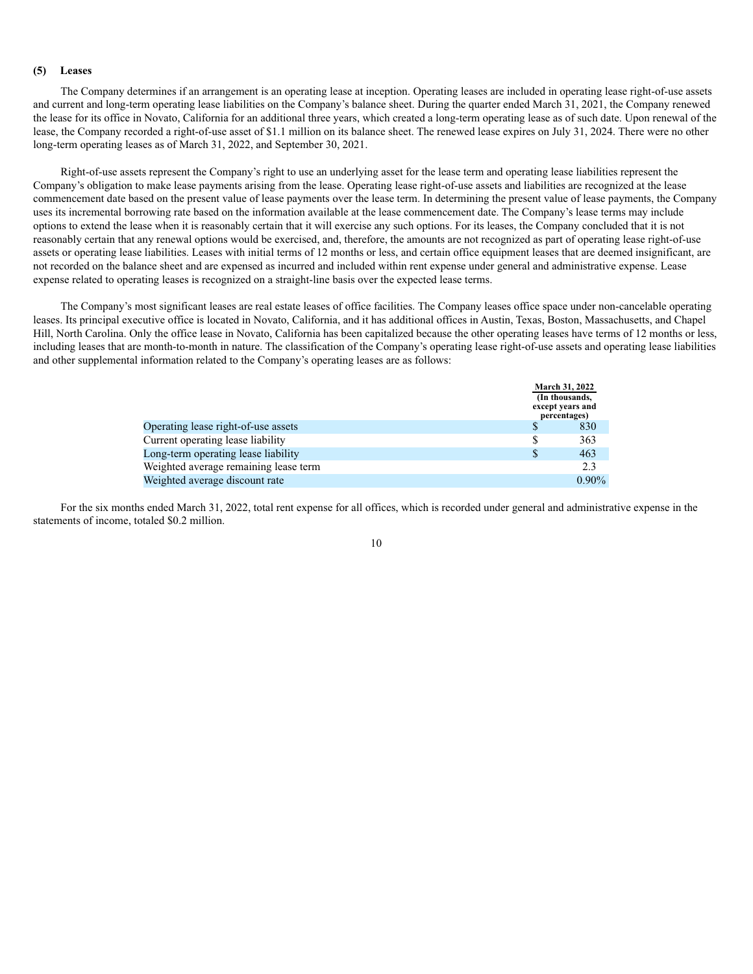#### **(5) Leases**

The Company determines if an arrangement is an operating lease at inception. Operating leases are included in operating lease right-of-use assets and current and long-term operating lease liabilities on the Company's balance sheet. During the quarter ended March 31, 2021, the Company renewed the lease for its office in Novato, California for an additional three years, which created a long-term operating lease as of such date. Upon renewal of the lease, the Company recorded a right-of-use asset of \$1.1 million on its balance sheet. The renewed lease expires on July 31, 2024. There were no other long-term operating leases as of March 31, 2022, and September 30, 2021.

Right-of-use assets represent the Company's right to use an underlying asset for the lease term and operating lease liabilities represent the Company's obligation to make lease payments arising from the lease. Operating lease right-of-use assets and liabilities are recognized at the lease commencement date based on the present value of lease payments over the lease term. In determining the present value of lease payments, the Company uses its incremental borrowing rate based on the information available at the lease commencement date. The Company's lease terms may include options to extend the lease when it is reasonably certain that it will exercise any such options. For its leases, the Company concluded that it is not reasonably certain that any renewal options would be exercised, and, therefore, the amounts are not recognized as part of operating lease right-of-use assets or operating lease liabilities. Leases with initial terms of 12 months or less, and certain office equipment leases that are deemed insignificant, are not recorded on the balance sheet and are expensed as incurred and included within rent expense under general and administrative expense. Lease expense related to operating leases is recognized on a straight-line basis over the expected lease terms.

The Company's most significant leases are real estate leases of office facilities. The Company leases office space under non-cancelable operating leases. Its principal executive office is located in Novato, California, and it has additional offices in Austin, Texas, Boston, Massachusetts, and Chapel Hill, North Carolina. Only the office lease in Novato, California has been capitalized because the other operating leases have terms of 12 months or less, including leases that are month-to-month in nature. The classification of the Company's operating lease right-of-use assets and operating lease liabilities and other supplemental information related to the Company's operating leases are as follows:

|                                       | March 31, 2022<br>(In thousands,<br>except years and<br>percentages) |          |  |  |
|---------------------------------------|----------------------------------------------------------------------|----------|--|--|
| Operating lease right-of-use assets   |                                                                      | 830      |  |  |
| Current operating lease liability     |                                                                      | 363      |  |  |
| Long-term operating lease liability   |                                                                      | 463      |  |  |
| Weighted average remaining lease term |                                                                      | 2.3      |  |  |
| Weighted average discount rate        |                                                                      | $0.90\%$ |  |  |

For the six months ended March 31, 2022, total rent expense for all offices, which is recorded under general and administrative expense in the statements of income, totaled \$0.2 million.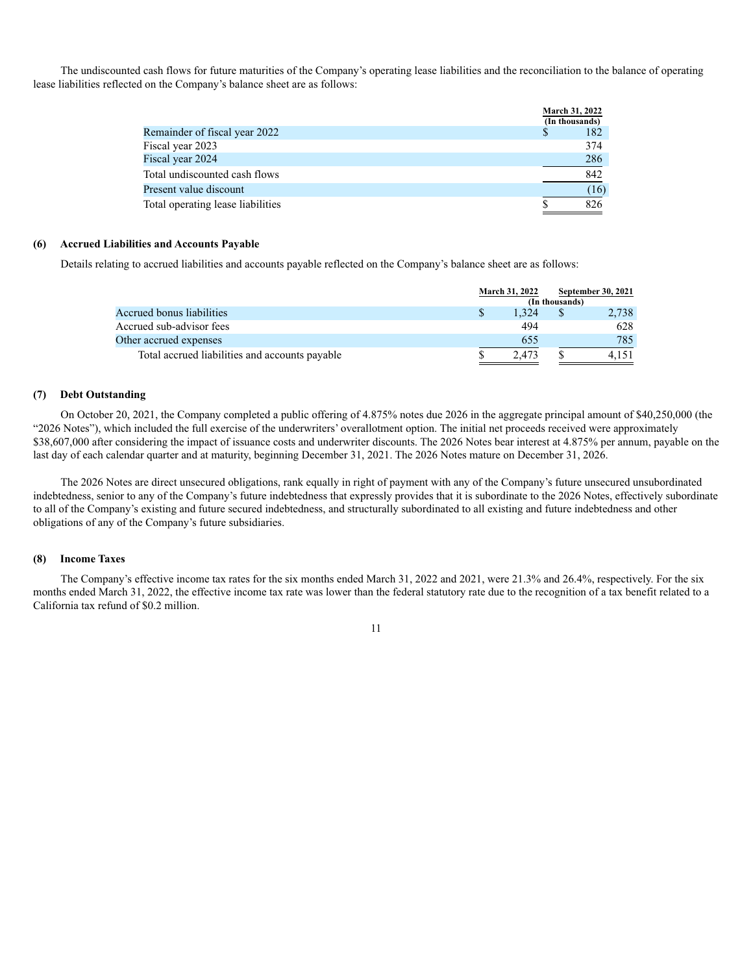The undiscounted cash flows for future maturities of the Company's operating lease liabilities and the reconciliation to the balance of operating lease liabilities reflected on the Company's balance sheet are as follows:

|                                   | March 31, 2022<br>(In thousands) |      |
|-----------------------------------|----------------------------------|------|
| Remainder of fiscal year 2022     | S                                | 182  |
| Fiscal year 2023                  |                                  | 374  |
| Fiscal year 2024                  |                                  | 286  |
| Total undiscounted cash flows     |                                  | 842  |
| Present value discount            |                                  | (16) |
| Total operating lease liabilities |                                  | 826  |
|                                   |                                  |      |

#### **(6) Accrued Liabilities and Accounts Payable**

Details relating to accrued liabilities and accounts payable reflected on the Company's balance sheet are as follows:

|                                                | <b>March 31, 2022</b> |                | September 30, 2021 |
|------------------------------------------------|-----------------------|----------------|--------------------|
|                                                |                       | (In thousands) |                    |
| Accrued bonus liabilities                      | 1.324                 |                | 2,738              |
| Accrued sub-advisor fees                       | 494                   |                | 628                |
| Other accrued expenses                         | 655                   |                | 785                |
| Total accrued liabilities and accounts payable | 2.473                 |                | 4.151              |

#### **(7) Debt Outstanding**

On October 20, 2021, the Company completed a public offering of 4.875% notes due 2026 in the aggregate principal amount of \$40,250,000 (the "2026 Notes"), which included the full exercise of the underwriters' overallotment option. The initial net proceeds received were approximately \$38,607,000 after considering the impact of issuance costs and underwriter discounts. The 2026 Notes bear interest at 4.875% per annum, payable on the last day of each calendar quarter and at maturity, beginning December 31, 2021. The 2026 Notes mature on December 31, 2026.

The 2026 Notes are direct unsecured obligations, rank equally in right of payment with any of the Company's future unsecured unsubordinated indebtedness, senior to any of the Company's future indebtedness that expressly provides that it is subordinate to the 2026 Notes, effectively subordinate to all of the Company's existing and future secured indebtedness, and structurally subordinated to all existing and future indebtedness and other obligations of any of the Company's future subsidiaries.

#### **(8) Income Taxes**

The Company's effective income tax rates for the six months ended March 31, 2022 and 2021, were 21.3% and 26.4%, respectively. For the six months ended March 31, 2022, the effective income tax rate was lower than the federal statutory rate due to the recognition of a tax benefit related to a California tax refund of \$0.2 million.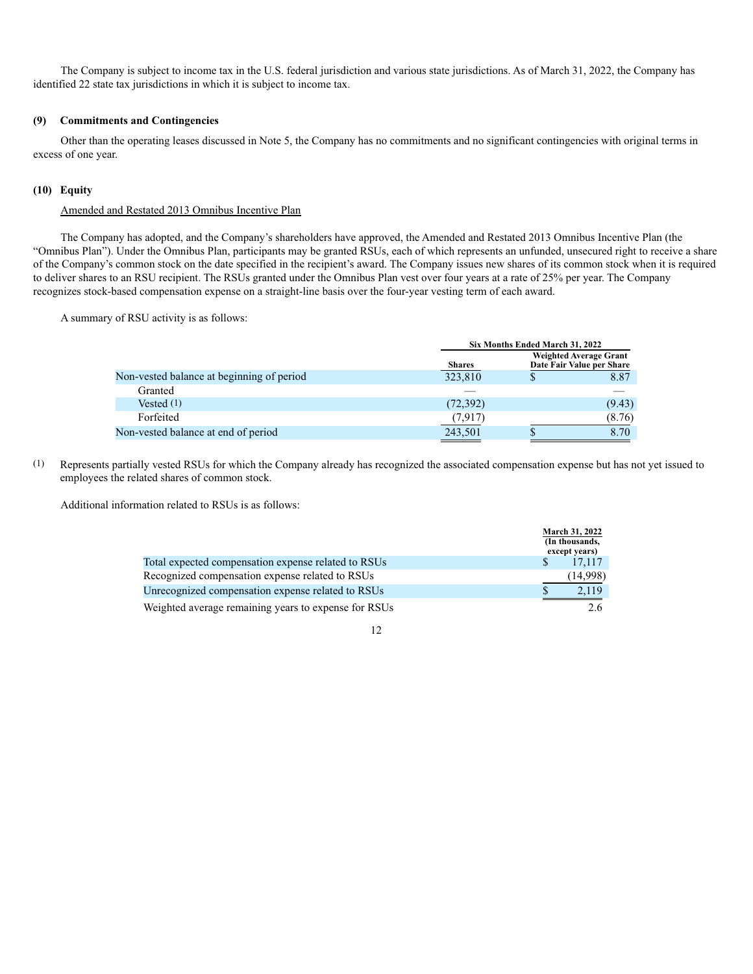The Company is subject to income tax in the U.S. federal jurisdiction and various state jurisdictions. As of March 31, 2022, the Company has identified 22 state tax jurisdictions in which it is subject to income tax.

# **(9) Commitments and Contingencies**

Other than the operating leases discussed in Note 5, the Company has no commitments and no significant contingencies with original terms in excess of one year.

#### **(10) Equity**

#### Amended and Restated 2013 Omnibus Incentive Plan

The Company has adopted, and the Company's shareholders have approved, the Amended and Restated 2013 Omnibus Incentive Plan (the "Omnibus Plan"). Under the Omnibus Plan, participants may be granted RSUs, each of which represents an unfunded, unsecured right to receive a share of the Company's common stock on the date specified in the recipient's award. The Company issues new shares of its common stock when it is required to deliver shares to an RSU recipient. The RSUs granted under the Omnibus Plan vest over four years at a rate of 25% per year. The Company recognizes stock-based compensation expense on a straight-line basis over the four-year vesting term of each award.

A summary of RSU activity is as follows:

|                                           | Six Months Ended March 31, 2022 |  |                                                            |
|-------------------------------------------|---------------------------------|--|------------------------------------------------------------|
|                                           | <b>Shares</b>                   |  | <b>Weighted Average Grant</b><br>Date Fair Value per Share |
| Non-vested balance at beginning of period | 323,810                         |  | 8.87                                                       |
| Granted                                   |                                 |  |                                                            |
| Vested $(1)$                              | (72, 392)                       |  | (9.43)                                                     |
| Forfeited                                 | (7,917)                         |  | (8.76)                                                     |
| Non-vested balance at end of period       | 243,501                         |  | 8.70                                                       |

(1) Represents partially vested RSUs for which the Company already has recognized the associated compensation expense but has not yet issued to employees the related shares of common stock.

Additional information related to RSUs is as follows:

|                                                      | March 31, 2022<br>(In thousands,<br>except years) |
|------------------------------------------------------|---------------------------------------------------|
| Total expected compensation expense related to RSUs  | 17.117                                            |
| Recognized compensation expense related to RSUs      | (14,998)                                          |
| Unrecognized compensation expense related to RSUs    | 2,119                                             |
| Weighted average remaining years to expense for RSUs | 2.6                                               |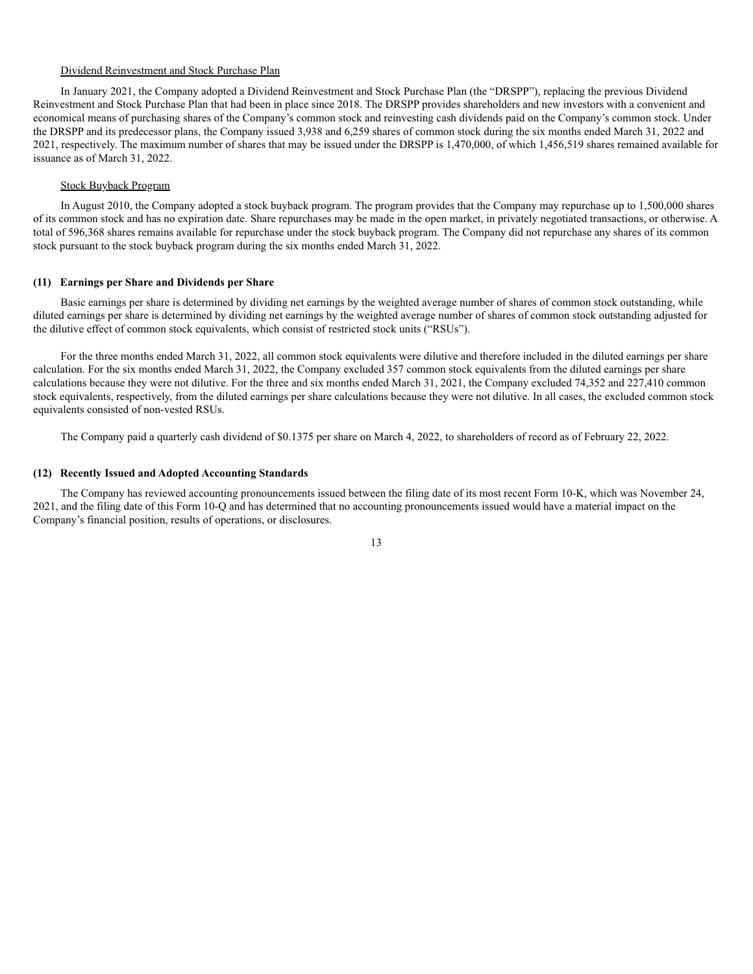#### Dividend Reinvestment and Stock Purchase Plan

In January 2021, the Company adopted a Dividend Reinvestment and Stock Purchase Plan (the "DRSPP"), replacing the previous Dividend Reinvestment and Stock Purchase Plan that had been in place since 2018. The DRSPP provides shareholders and new investors with a convenient and economical means of purchasing shares of the Company's common stock and reinvesting cash dividends paid on the Company's common stock. Under the DRSPP and its predecessor plans, the Company issued 3,938 and 6,259 shares of common stock during the six months ended March 31, 2022 and 2021, respectively. The maximum number of shares that may be issued under the DRSPP is 1,470,000, of which 1,456,519 shares remained available for issuance as of March 31, 2022.

#### Stock Buyback Program

In August 2010, the Company adopted a stock buyback program. The program provides that the Company may repurchase up to 1,500,000 shares of its common stock and has no expiration date. Share repurchases may be made in the open market, in privately negotiated transactions, or otherwise. A total of 596,368 shares remains available for repurchase under the stock buyback program. The Company did not repurchase any shares of its common stock pursuant to the stock buyback program during the six months ended March 31, 2022.

#### **(11) Earnings per Share and Dividends per Share**

Basic earnings per share is determined by dividing net earnings by the weighted average number of shares of common stock outstanding, while diluted earnings per share is determined by dividing net earnings by the weighted average number of shares of common stock outstanding adjusted for the dilutive effect of common stock equivalents, which consist of restricted stock units ("RSUs").

For the three months ended March 31, 2022, all common stock equivalents were dilutive and therefore included in the diluted earnings per share calculation. For the six months ended March 31, 2022, the Company excluded 357 common stock equivalents from the diluted earnings per share calculations because they were not dilutive. For the three and six months ended March 31, 2021, the Company excluded 74,352 and 227,410 common stock equivalents, respectively, from the diluted earnings per share calculations because they were not dilutive. In all cases, the excluded common stock equivalents consisted of non-vested RSUs.

The Company paid a quarterly cash dividend of \$0.1375 per share on March 4, 2022, to shareholders of record as of February 22, 2022.

#### **(12) Recently Issued and Adopted Accounting Standards**

The Company has reviewed accounting pronouncements issued between the filing date of its most recent Form 10-K, which was November 24, 2021, and the filing date of this Form 10-Q and has determined that no accounting pronouncements issued would have a material impact on the Company's financial position, results of operations, or disclosures.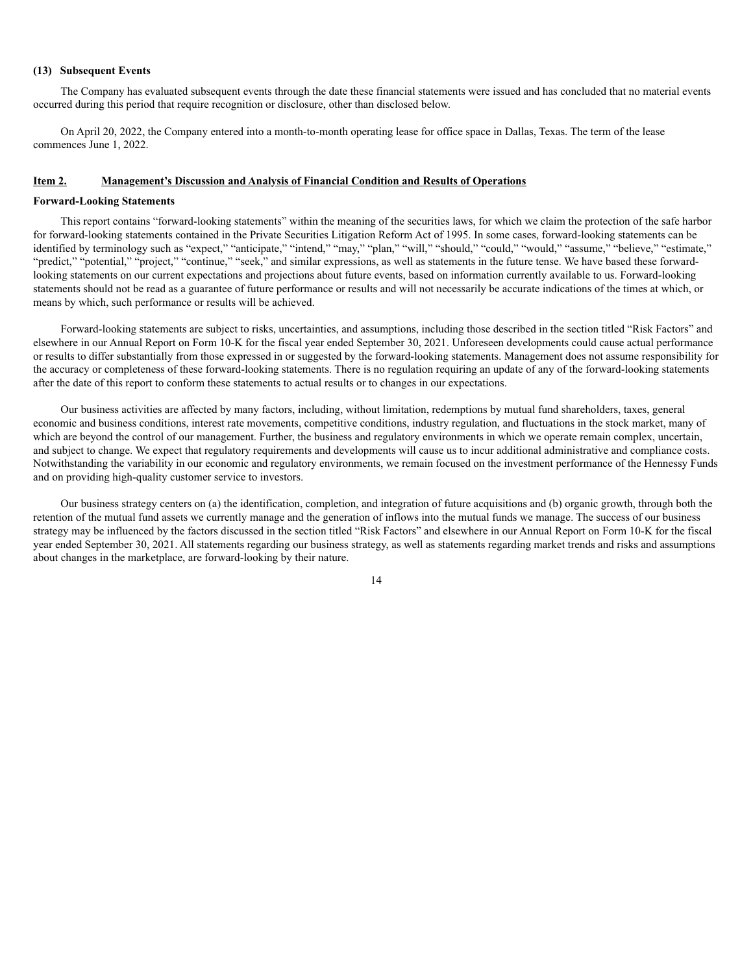#### **(13) Subsequent Events**

The Company has evaluated subsequent events through the date these financial statements were issued and has concluded that no material events occurred during this period that require recognition or disclosure, other than disclosed below.

On April 20, 2022, the Company entered into a month-to-month operating lease for office space in Dallas, Texas. The term of the lease commences June 1, 2022.

#### **Item 2. Management's Discussion and Analysis of Financial Condition and Results of Operations**

#### **Forward-Looking Statements**

This report contains "forward-looking statements" within the meaning of the securities laws, for which we claim the protection of the safe harbor for forward-looking statements contained in the Private Securities Litigation Reform Act of 1995. In some cases, forward-looking statements can be identified by terminology such as "expect," "anticipate," "intend," "may," "plan," "will," "should," "could," "would," "assume," "believe," "estimate," "predict," "potential," "project," "continue," "seek," and similar expressions, as well as statements in the future tense. We have based these forwardlooking statements on our current expectations and projections about future events, based on information currently available to us. Forward-looking statements should not be read as a guarantee of future performance or results and will not necessarily be accurate indications of the times at which, or means by which, such performance or results will be achieved.

Forward-looking statements are subject to risks, uncertainties, and assumptions, including those described in the section titled "Risk Factors" and elsewhere in our Annual Report on Form 10-K for the fiscal year ended September 30, 2021. Unforeseen developments could cause actual performance or results to differ substantially from those expressed in or suggested by the forward-looking statements. Management does not assume responsibility for the accuracy or completeness of these forward-looking statements. There is no regulation requiring an update of any of the forward-looking statements after the date of this report to conform these statements to actual results or to changes in our expectations.

Our business activities are affected by many factors, including, without limitation, redemptions by mutual fund shareholders, taxes, general economic and business conditions, interest rate movements, competitive conditions, industry regulation, and fluctuations in the stock market, many of which are beyond the control of our management. Further, the business and regulatory environments in which we operate remain complex, uncertain, and subject to change. We expect that regulatory requirements and developments will cause us to incur additional administrative and compliance costs. Notwithstanding the variability in our economic and regulatory environments, we remain focused on the investment performance of the Hennessy Funds and on providing high-quality customer service to investors.

Our business strategy centers on (a) the identification, completion, and integration of future acquisitions and (b) organic growth, through both the retention of the mutual fund assets we currently manage and the generation of inflows into the mutual funds we manage. The success of our business strategy may be influenced by the factors discussed in the section titled "Risk Factors" and elsewhere in our Annual Report on Form 10-K for the fiscal year ended September 30, 2021. All statements regarding our business strategy, as well as statements regarding market trends and risks and assumptions about changes in the marketplace, are forward-looking by their nature.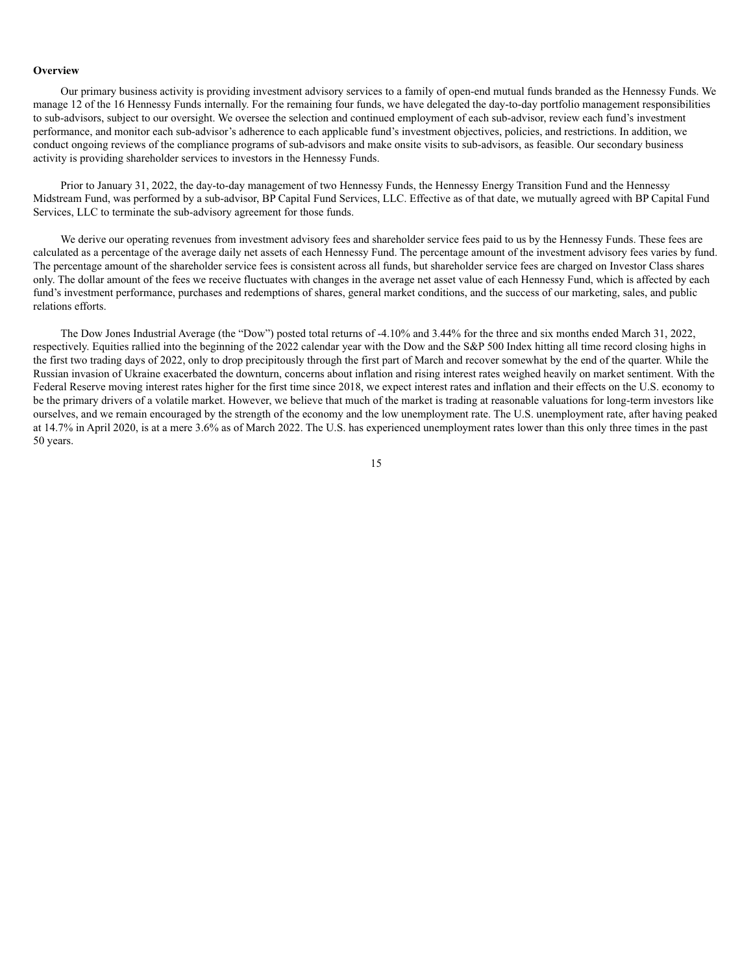#### **Overview**

Our primary business activity is providing investment advisory services to a family of open-end mutual funds branded as the Hennessy Funds. We manage 12 of the 16 Hennessy Funds internally. For the remaining four funds, we have delegated the day-to-day portfolio management responsibilities to sub-advisors, subject to our oversight. We oversee the selection and continued employment of each sub-advisor, review each fund's investment performance, and monitor each sub-advisor's adherence to each applicable fund's investment objectives, policies, and restrictions. In addition, we conduct ongoing reviews of the compliance programs of sub-advisors and make onsite visits to sub-advisors, as feasible. Our secondary business activity is providing shareholder services to investors in the Hennessy Funds.

Prior to January 31, 2022, the day-to-day management of two Hennessy Funds, the Hennessy Energy Transition Fund and the Hennessy Midstream Fund, was performed by a sub-advisor, BP Capital Fund Services, LLC. Effective as of that date, we mutually agreed with BP Capital Fund Services, LLC to terminate the sub-advisory agreement for those funds.

We derive our operating revenues from investment advisory fees and shareholder service fees paid to us by the Hennessy Funds. These fees are calculated as a percentage of the average daily net assets of each Hennessy Fund. The percentage amount of the investment advisory fees varies by fund. The percentage amount of the shareholder service fees is consistent across all funds, but shareholder service fees are charged on Investor Class shares only. The dollar amount of the fees we receive fluctuates with changes in the average net asset value of each Hennessy Fund, which is affected by each fund's investment performance, purchases and redemptions of shares, general market conditions, and the success of our marketing, sales, and public relations efforts.

The Dow Jones Industrial Average (the "Dow") posted total returns of -4.10% and 3.44% for the three and six months ended March 31, 2022, respectively. Equities rallied into the beginning of the 2022 calendar year with the Dow and the S&P 500 Index hitting all time record closing highs in the first two trading days of 2022, only to drop precipitously through the first part of March and recover somewhat by the end of the quarter. While the Russian invasion of Ukraine exacerbated the downturn, concerns about inflation and rising interest rates weighed heavily on market sentiment. With the Federal Reserve moving interest rates higher for the first time since 2018, we expect interest rates and inflation and their effects on the U.S. economy to be the primary drivers of a volatile market. However, we believe that much of the market is trading at reasonable valuations for long-term investors like ourselves, and we remain encouraged by the strength of the economy and the low unemployment rate. The U.S. unemployment rate, after having peaked at 14.7% in April 2020, is at a mere 3.6% as of March 2022. The U.S. has experienced unemployment rates lower than this only three times in the past 50 years.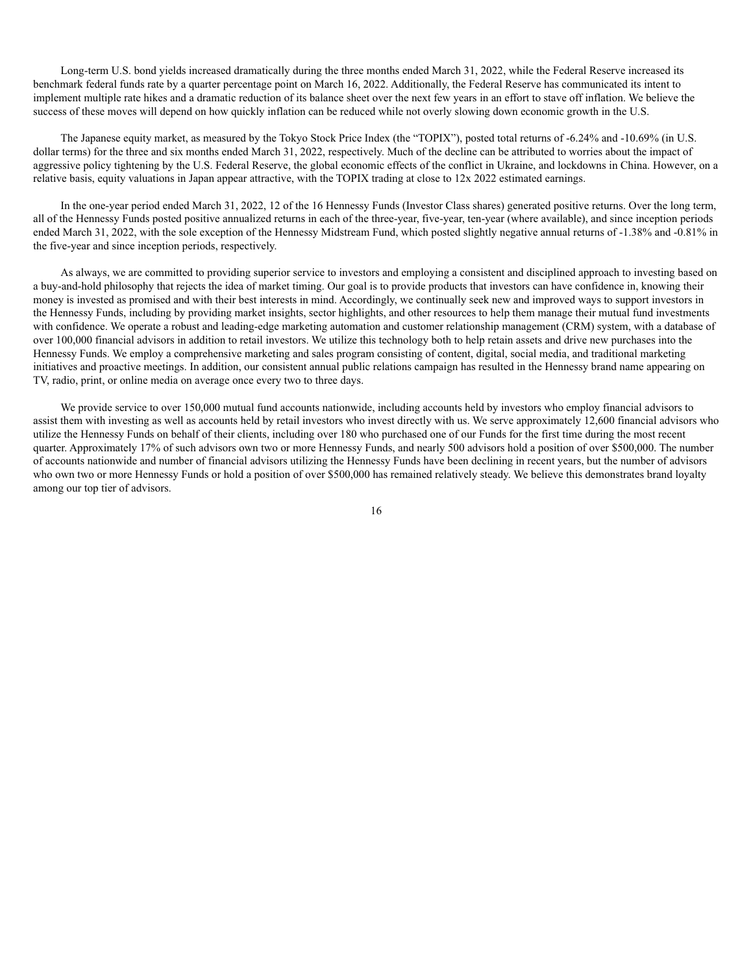Long-term U.S. bond yields increased dramatically during the three months ended March 31, 2022, while the Federal Reserve increased its benchmark federal funds rate by a quarter percentage point on March 16, 2022. Additionally, the Federal Reserve has communicated its intent to implement multiple rate hikes and a dramatic reduction of its balance sheet over the next few years in an effort to stave off inflation. We believe the success of these moves will depend on how quickly inflation can be reduced while not overly slowing down economic growth in the U.S.

The Japanese equity market, as measured by the Tokyo Stock Price Index (the "TOPIX"), posted total returns of -6.24% and -10.69% (in U.S. dollar terms) for the three and six months ended March 31, 2022, respectively. Much of the decline can be attributed to worries about the impact of aggressive policy tightening by the U.S. Federal Reserve, the global economic effects of the conflict in Ukraine, and lockdowns in China. However, on a relative basis, equity valuations in Japan appear attractive, with the TOPIX trading at close to 12x 2022 estimated earnings.

In the one-year period ended March 31, 2022, 12 of the 16 Hennessy Funds (Investor Class shares) generated positive returns. Over the long term, all of the Hennessy Funds posted positive annualized returns in each of the three-year, five-year, ten-year (where available), and since inception periods ended March 31, 2022, with the sole exception of the Hennessy Midstream Fund, which posted slightly negative annual returns of -1.38% and -0.81% in the five-year and since inception periods, respectively.

As always, we are committed to providing superior service to investors and employing a consistent and disciplined approach to investing based on a buy-and-hold philosophy that rejects the idea of market timing. Our goal is to provide products that investors can have confidence in, knowing their money is invested as promised and with their best interests in mind. Accordingly, we continually seek new and improved ways to support investors in the Hennessy Funds, including by providing market insights, sector highlights, and other resources to help them manage their mutual fund investments with confidence. We operate a robust and leading-edge marketing automation and customer relationship management (CRM) system, with a database of over 100,000 financial advisors in addition to retail investors. We utilize this technology both to help retain assets and drive new purchases into the Hennessy Funds. We employ a comprehensive marketing and sales program consisting of content, digital, social media, and traditional marketing initiatives and proactive meetings. In addition, our consistent annual public relations campaign has resulted in the Hennessy brand name appearing on TV, radio, print, or online media on average once every two to three days.

We provide service to over 150,000 mutual fund accounts nationwide, including accounts held by investors who employ financial advisors to assist them with investing as well as accounts held by retail investors who invest directly with us. We serve approximately 12,600 financial advisors who utilize the Hennessy Funds on behalf of their clients, including over 180 who purchased one of our Funds for the first time during the most recent quarter. Approximately 17% of such advisors own two or more Hennessy Funds, and nearly 500 advisors hold a position of over \$500,000. The number of accounts nationwide and number of financial advisors utilizing the Hennessy Funds have been declining in recent years, but the number of advisors who own two or more Hennessy Funds or hold a position of over \$500,000 has remained relatively steady. We believe this demonstrates brand loyalty among our top tier of advisors.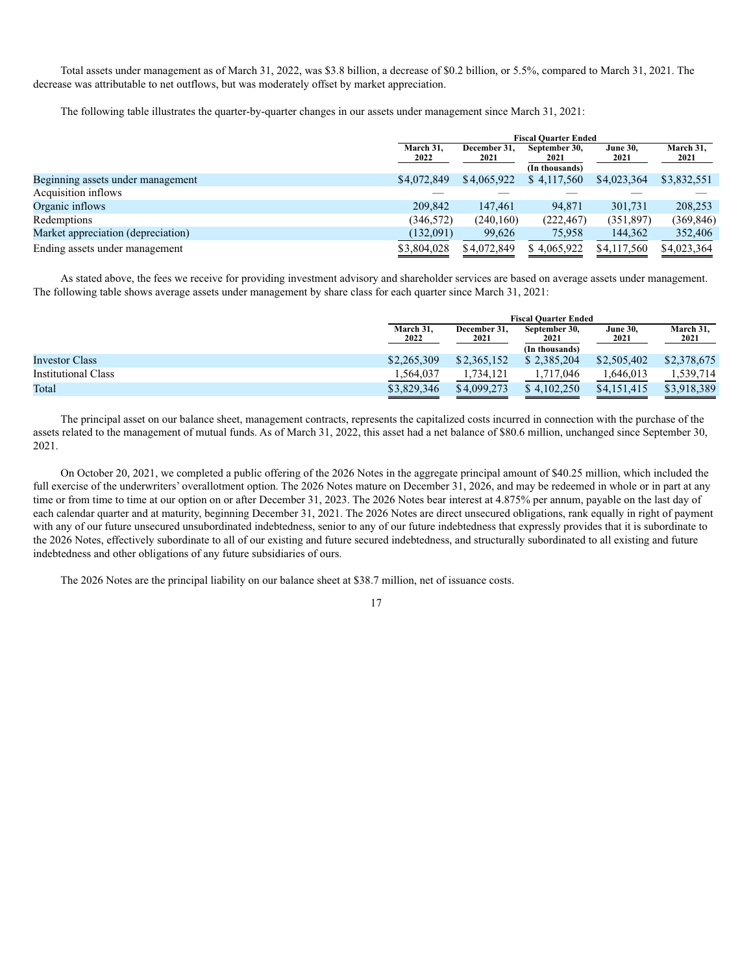Total assets under management as of March 31, 2022, was \$3.8 billion, a decrease of \$0.2 billion, or 5.5%, compared to March 31, 2021. The decrease was attributable to net outflows, but was moderately offset by market appreciation.

The following table illustrates the quarter-by-quarter changes in our assets under management since March 31, 2021:

|                                    | <b>Fiscal Quarter Ended</b> |                      |                                         |                         |                   |
|------------------------------------|-----------------------------|----------------------|-----------------------------------------|-------------------------|-------------------|
|                                    | March 31.<br>2022           | December 31,<br>2021 | September 30.<br>2021<br>(In thousands) | <b>June 30,</b><br>2021 | March 31,<br>2021 |
| Beginning assets under management  | \$4,072,849                 | \$4,065,922          | \$4,117,560                             | \$4,023,364             | \$3,832,551       |
| Acquisition inflows                |                             |                      |                                         |                         |                   |
| Organic inflows                    | 209,842                     | 147.461              | 94.871                                  | 301,731                 | 208,253           |
| Redemptions                        | (346, 572)                  | (240, 160)           | (222, 467)                              | (351,897)               | (369, 846)        |
| Market appreciation (depreciation) | (132,091)                   | 99,626               | 75,958                                  | 144,362                 | 352,406           |
| Ending assets under management     | \$3,804,028                 | \$4,072,849          | \$4.065.922                             | \$4,117,560             | \$4,023,364       |

As stated above, the fees we receive for providing investment advisory and shareholder services are based on average assets under management. The following table shows average assets under management by share class for each quarter since March 31, 2021:

|                            | <b>Fiscal Ouarter Ended</b> |                      |                                         |                         |                   |
|----------------------------|-----------------------------|----------------------|-----------------------------------------|-------------------------|-------------------|
|                            | March 31,<br>2022           | December 31.<br>2021 | September 30,<br>2021<br>(In thousands) | <b>June 30,</b><br>2021 | March 31.<br>2021 |
| Investor Class             | \$2,265,309                 | \$2,365,152          | \$2,385,204                             | \$2,505,402             | \$2,378,675       |
| <b>Institutional Class</b> | 1.564.037                   | 1.734.121            | 1.717.046                               | .646.013                | .539.714          |
| Total                      | \$3,829,346                 | \$4,099,273          | \$4.102.250                             | \$4,151,415             | \$3,918,389       |

The principal asset on our balance sheet, management contracts, represents the capitalized costs incurred in connection with the purchase of the assets related to the management of mutual funds. As of March 31, 2022, this asset had a net balance of \$80.6 million, unchanged since September 30, 2021.

On October 20, 2021, we completed a public offering of the 2026 Notes in the aggregate principal amount of \$40.25 million, which included the full exercise of the underwriters' overallotment option. The 2026 Notes mature on December 31, 2026, and may be redeemed in whole or in part at any time or from time to time at our option on or after December 31, 2023. The 2026 Notes bear interest at 4.875% per annum, payable on the last day of each calendar quarter and at maturity, beginning December 31, 2021. The 2026 Notes are direct unsecured obligations, rank equally in right of payment with any of our future unsecured unsubordinated indebtedness, senior to any of our future indebtedness that expressly provides that it is subordinate to the 2026 Notes, effectively subordinate to all of our existing and future secured indebtedness, and structurally subordinated to all existing and future indebtedness and other obligations of any future subsidiaries of ours.

The 2026 Notes are the principal liability on our balance sheet at \$38.7 million, net of issuance costs.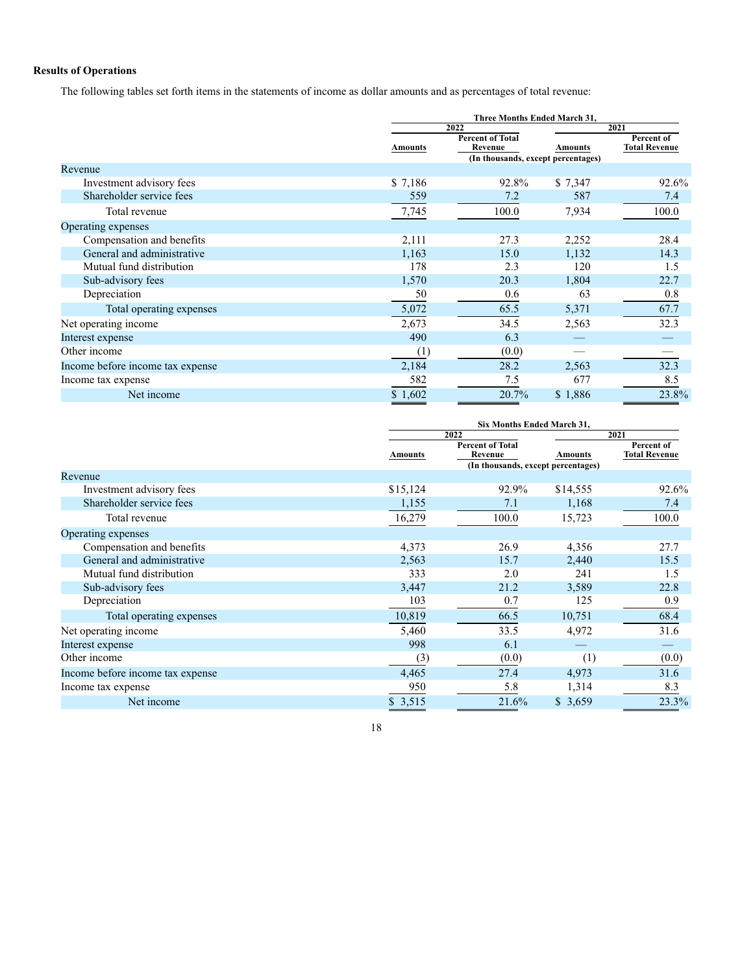# **Results of Operations**

The following tables set forth items in the statements of income as dollar amounts and as percentages of total revenue:

|                                  |         | Three Months Ended March 31,       |         |                                    |  |
|----------------------------------|---------|------------------------------------|---------|------------------------------------|--|
|                                  |         | 2022                               |         | 2021                               |  |
|                                  | Amounts | <b>Percent of Total</b><br>Revenue | Amounts | Percent of<br><b>Total Revenue</b> |  |
|                                  |         | (In thousands, except percentages) |         |                                    |  |
| Revenue                          |         |                                    |         |                                    |  |
| Investment advisory fees         | \$7,186 | 92.8%                              | \$7,347 | 92.6%                              |  |
| Shareholder service fees         | 559     | 7.2                                | 587     | 7.4                                |  |
| Total revenue                    | 7,745   | 100.0                              | 7,934   | 100.0                              |  |
| Operating expenses               |         |                                    |         |                                    |  |
| Compensation and benefits        | 2,111   | 27.3                               | 2,252   | 28.4                               |  |
| General and administrative       | 1,163   | 15.0                               | 1,132   | 14.3                               |  |
| Mutual fund distribution         | 178     | 2.3                                | 120     | 1.5                                |  |
| Sub-advisory fees                | 1,570   | 20.3                               | 1,804   | 22.7                               |  |
| Depreciation                     | 50      | 0.6                                | 63      | 0.8                                |  |
| Total operating expenses         | 5,072   | 65.5                               | 5,371   | 67.7                               |  |
| Net operating income             | 2,673   | 34.5                               | 2,563   | 32.3                               |  |
| Interest expense                 | 490     | 6.3                                |         |                                    |  |
| Other income                     | (1)     | (0.0)                              |         |                                    |  |
| Income before income tax expense | 2,184   | 28.2                               | 2,563   | 32.3                               |  |
| Income tax expense               | 582     | 7.5                                | 677     | 8.5                                |  |
| Net income                       | \$1,602 | 20.7%                              | \$1,886 | 23.8%                              |  |

|                                  | Six Months Ended March 31, |                                    |                |                                    |
|----------------------------------|----------------------------|------------------------------------|----------------|------------------------------------|
|                                  | 2022                       |                                    | 2021           |                                    |
|                                  | <b>Amounts</b>             | <b>Percent of Total</b><br>Revenue | <b>Amounts</b> | Percent of<br><b>Total Revenue</b> |
|                                  |                            | (In thousands, except percentages) |                |                                    |
| Revenue                          |                            |                                    |                |                                    |
| Investment advisory fees         | \$15,124                   | 92.9%                              | \$14,555       | 92.6%                              |
| Shareholder service fees         | 1,155                      | 7.1                                | 1,168          | 7.4                                |
| Total revenue                    | 16,279                     | 100.0                              | 15,723         | 100.0                              |
| Operating expenses               |                            |                                    |                |                                    |
| Compensation and benefits        | 4,373                      | 26.9                               | 4,356          | 27.7                               |
| General and administrative       | 2,563                      | 15.7                               | 2,440          | 15.5                               |
| Mutual fund distribution         | 333                        | 2.0                                | 241            | 1.5                                |
| Sub-advisory fees                | 3,447                      | 21.2                               | 3,589          | 22.8                               |
| Depreciation                     | 103                        | 0.7                                | 125            | 0.9                                |
| Total operating expenses         | 10,819                     | 66.5                               | 10,751         | 68.4                               |
| Net operating income.            | 5,460                      | 33.5                               | 4,972          | 31.6                               |
| Interest expense                 | 998                        | 6.1                                |                |                                    |
| Other income                     | (3)                        | (0.0)                              | (1)            | (0.0)                              |
| Income before income tax expense | 4,465                      | 27.4                               | 4,973          | 31.6                               |
| Income tax expense               | 950                        | 5.8                                | 1,314          | 8.3                                |
| Net income                       | \$3,515                    | 21.6%                              | \$3,659        | 23.3%                              |

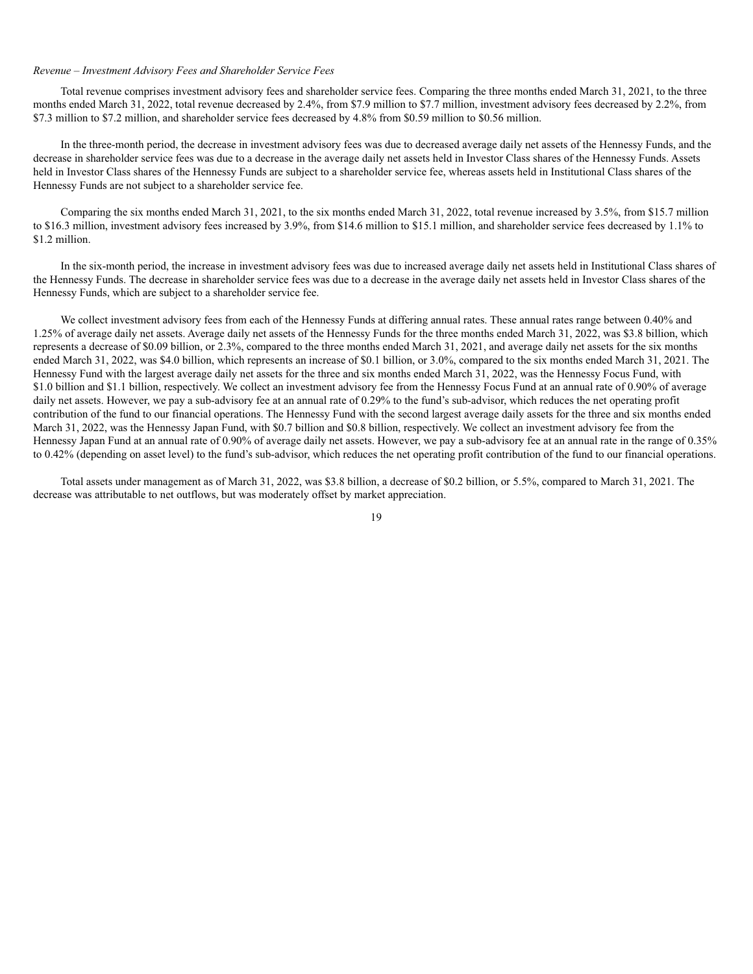#### *Revenue – Investment Advisory Fees and Shareholder Service Fees*

Total revenue comprises investment advisory fees and shareholder service fees. Comparing the three months ended March 31, 2021, to the three months ended March 31, 2022, total revenue decreased by 2.4%, from \$7.9 million to \$7.7 million, investment advisory fees decreased by 2.2%, from \$7.3 million to \$7.2 million, and shareholder service fees decreased by 4.8% from \$0.59 million to \$0.56 million.

In the three-month period, the decrease in investment advisory fees was due to decreased average daily net assets of the Hennessy Funds, and the decrease in shareholder service fees was due to a decrease in the average daily net assets held in Investor Class shares of the Hennessy Funds. Assets held in Investor Class shares of the Hennessy Funds are subject to a shareholder service fee, whereas assets held in Institutional Class shares of the Hennessy Funds are not subject to a shareholder service fee.

Comparing the six months ended March 31, 2021, to the six months ended March 31, 2022, total revenue increased by 3.5%, from \$15.7 million to \$16.3 million, investment advisory fees increased by 3.9%, from \$14.6 million to \$15.1 million, and shareholder service fees decreased by 1.1% to \$1.2 million.

In the six-month period, the increase in investment advisory fees was due to increased average daily net assets held in Institutional Class shares of the Hennessy Funds. The decrease in shareholder service fees was due to a decrease in the average daily net assets held in Investor Class shares of the Hennessy Funds, which are subject to a shareholder service fee.

We collect investment advisory fees from each of the Hennessy Funds at differing annual rates. These annual rates range between 0.40% and 1.25% of average daily net assets. Average daily net assets of the Hennessy Funds for the three months ended March 31, 2022, was \$3.8 billion, which represents a decrease of \$0.09 billion, or 2.3%, compared to the three months ended March 31, 2021, and average daily net assets for the six months ended March 31, 2022, was \$4.0 billion, which represents an increase of \$0.1 billion, or 3.0%, compared to the six months ended March 31, 2021. The Hennessy Fund with the largest average daily net assets for the three and six months ended March 31, 2022, was the Hennessy Focus Fund, with \$1.0 billion and \$1.1 billion, respectively. We collect an investment advisory fee from the Hennessy Focus Fund at an annual rate of 0.90% of average daily net assets. However, we pay a sub-advisory fee at an annual rate of 0.29% to the fund's sub-advisor, which reduces the net operating profit contribution of the fund to our financial operations. The Hennessy Fund with the second largest average daily assets for the three and six months ended March 31, 2022, was the Hennessy Japan Fund, with \$0.7 billion and \$0.8 billion, respectively. We collect an investment advisory fee from the Hennessy Japan Fund at an annual rate of 0.90% of average daily net assets. However, we pay a sub-advisory fee at an annual rate in the range of 0.35% to 0.42% (depending on asset level) to the fund's sub-advisor, which reduces the net operating profit contribution of the fund to our financial operations.

Total assets under management as of March 31, 2022, was \$3.8 billion, a decrease of \$0.2 billion, or 5.5%, compared to March 31, 2021. The decrease was attributable to net outflows, but was moderately offset by market appreciation.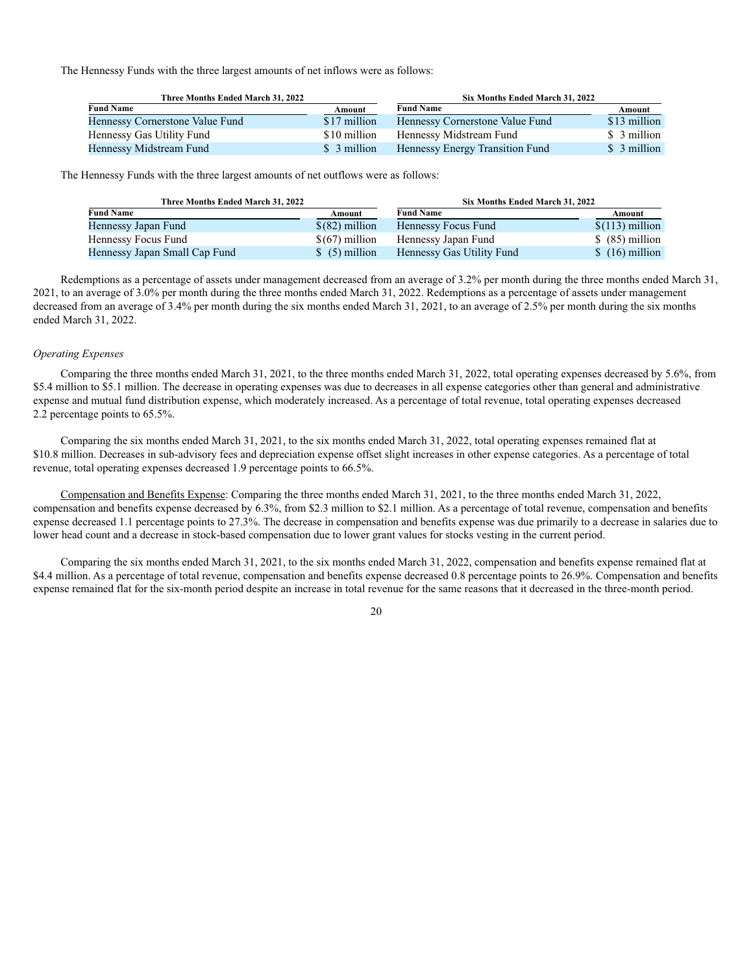The Hennessy Funds with the three largest amounts of net inflows were as follows:

| Three Months Ended March 31, 2022 |              | Six Months Ended March 31, 2022 |              |
|-----------------------------------|--------------|---------------------------------|--------------|
| <b>Fund Name</b>                  | Amount       | <b>Fund Name</b>                | Amount       |
| Hennessy Cornerstone Value Fund   | \$17 million | Hennessy Cornerstone Value Fund | \$13 million |
| Hennessy Gas Utility Fund         | \$10 million | Hennessy Midstream Fund         | \$ 3 million |
| Hennessy Midstream Fund           | \$ 3 million | Hennessy Energy Transition Fund | \$ 3 million |

The Hennessy Funds with the three largest amounts of net outflows were as follows:

| Three Months Ended March 31, 2022 |                           | Six Months Ended March 31, 2022 |                  |  |
|-----------------------------------|---------------------------|---------------------------------|------------------|--|
| <b>Fund Name</b>                  | Amount                    | <b>Fund Name</b>                | Amount           |  |
| Hennessy Japan Fund               | $$(82)$ million           | Hennessy Focus Fund             | $$(113)$ million |  |
| Hennessy Focus Fund               | $$(67)$ million           | Hennessy Japan Fund             | $$$ (85) million |  |
| Hennessy Japan Small Cap Fund     | $\frac{1}{2}$ (5) million | Hennessy Gas Utility Fund       | $$$ (16) million |  |

Redemptions as a percentage of assets under management decreased from an average of 3.2% per month during the three months ended March 31, 2021, to an average of 3.0% per month during the three months ended March 31, 2022. Redemptions as a percentage of assets under management decreased from an average of 3.4% per month during the six months ended March 31, 2021, to an average of 2.5% per month during the six months ended March 31, 2022.

#### *Operating Expenses*

Comparing the three months ended March 31, 2021, to the three months ended March 31, 2022, total operating expenses decreased by 5.6%, from \$5.4 million to \$5.1 million. The decrease in operating expenses was due to decreases in all expense categories other than general and administrative expense and mutual fund distribution expense, which moderately increased. As a percentage of total revenue, total operating expenses decreased 2.2 percentage points to 65.5%.

Comparing the six months ended March 31, 2021, to the six months ended March 31, 2022, total operating expenses remained flat at \$10.8 million. Decreases in sub-advisory fees and depreciation expense offset slight increases in other expense categories. As a percentage of total revenue, total operating expenses decreased 1.9 percentage points to 66.5%.

Compensation and Benefits Expense: Comparing the three months ended March 31, 2021, to the three months ended March 31, 2022, compensation and benefits expense decreased by 6.3%, from \$2.3 million to \$2.1 million. As a percentage of total revenue, compensation and benefits expense decreased 1.1 percentage points to 27.3%. The decrease in compensation and benefits expense was due primarily to a decrease in salaries due to lower head count and a decrease in stock-based compensation due to lower grant values for stocks vesting in the current period.

Comparing the six months ended March 31, 2021, to the six months ended March 31, 2022, compensation and benefits expense remained flat at \$4.4 million. As a percentage of total revenue, compensation and benefits expense decreased 0.8 percentage points to 26.9%. Compensation and benefits expense remained flat for the six-month period despite an increase in total revenue for the same reasons that it decreased in the three-month period.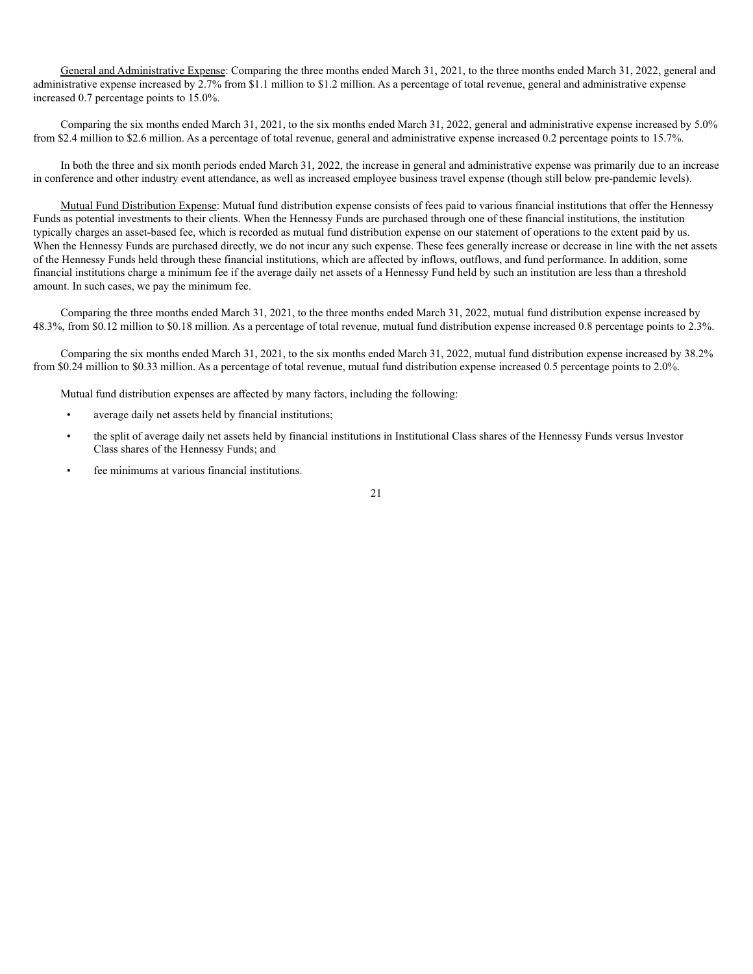General and Administrative Expense: Comparing the three months ended March 31, 2021, to the three months ended March 31, 2022, general and administrative expense increased by 2.7% from \$1.1 million to \$1.2 million. As a percentage of total revenue, general and administrative expense increased 0.7 percentage points to 15.0%.

Comparing the six months ended March 31, 2021, to the six months ended March 31, 2022, general and administrative expense increased by 5.0% from \$2.4 million to \$2.6 million. As a percentage of total revenue, general and administrative expense increased 0.2 percentage points to 15.7%.

In both the three and six month periods ended March 31, 2022, the increase in general and administrative expense was primarily due to an increase in conference and other industry event attendance, as well as increased employee business travel expense (though still below pre-pandemic levels).

Mutual Fund Distribution Expense: Mutual fund distribution expense consists of fees paid to various financial institutions that offer the Hennessy Funds as potential investments to their clients. When the Hennessy Funds are purchased through one of these financial institutions, the institution typically charges an asset-based fee, which is recorded as mutual fund distribution expense on our statement of operations to the extent paid by us. When the Hennessy Funds are purchased directly, we do not incur any such expense. These fees generally increase or decrease in line with the net assets of the Hennessy Funds held through these financial institutions, which are affected by inflows, outflows, and fund performance. In addition, some financial institutions charge a minimum fee if the average daily net assets of a Hennessy Fund held by such an institution are less than a threshold amount. In such cases, we pay the minimum fee.

Comparing the three months ended March 31, 2021, to the three months ended March 31, 2022, mutual fund distribution expense increased by 48.3%, from \$0.12 million to \$0.18 million. As a percentage of total revenue, mutual fund distribution expense increased 0.8 percentage points to 2.3%.

Comparing the six months ended March 31, 2021, to the six months ended March 31, 2022, mutual fund distribution expense increased by 38.2% from \$0.24 million to \$0.33 million. As a percentage of total revenue, mutual fund distribution expense increased 0.5 percentage points to 2.0%.

Mutual fund distribution expenses are affected by many factors, including the following:

- average daily net assets held by financial institutions;
- the split of average daily net assets held by financial institutions in Institutional Class shares of the Hennessy Funds versus Investor Class shares of the Hennessy Funds; and
- fee minimums at various financial institutions.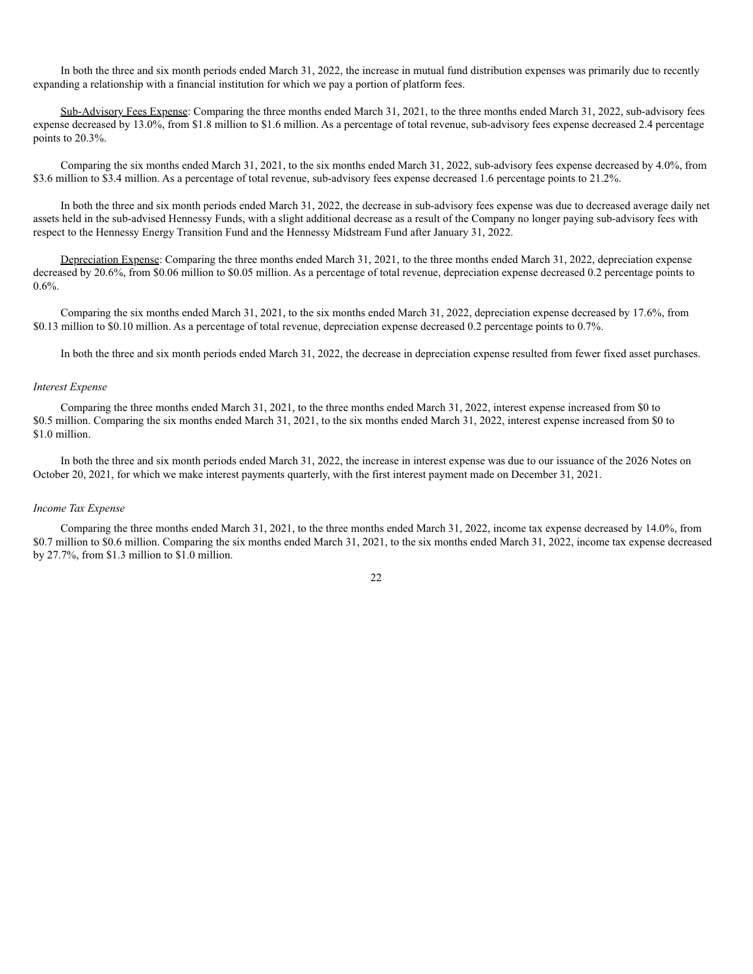In both the three and six month periods ended March 31, 2022, the increase in mutual fund distribution expenses was primarily due to recently expanding a relationship with a financial institution for which we pay a portion of platform fees.

Sub-Advisory Fees Expense: Comparing the three months ended March 31, 2021, to the three months ended March 31, 2022, sub-advisory fees expense decreased by 13.0%, from \$1.8 million to \$1.6 million. As a percentage of total revenue, sub-advisory fees expense decreased 2.4 percentage points to 20.3%.

Comparing the six months ended March 31, 2021, to the six months ended March 31, 2022, sub-advisory fees expense decreased by 4.0%, from \$3.6 million to \$3.4 million. As a percentage of total revenue, sub-advisory fees expense decreased 1.6 percentage points to 21.2%.

In both the three and six month periods ended March 31, 2022, the decrease in sub-advisory fees expense was due to decreased average daily net assets held in the sub-advised Hennessy Funds, with a slight additional decrease as a result of the Company no longer paying sub-advisory fees with respect to the Hennessy Energy Transition Fund and the Hennessy Midstream Fund after January 31, 2022.

Depreciation Expense: Comparing the three months ended March 31, 2021, to the three months ended March 31, 2022, depreciation expense decreased by 20.6%, from \$0.06 million to \$0.05 million. As a percentage of total revenue, depreciation expense decreased 0.2 percentage points to 0.6%.

Comparing the six months ended March 31, 2021, to the six months ended March 31, 2022, depreciation expense decreased by 17.6%, from \$0.13 million to \$0.10 million. As a percentage of total revenue, depreciation expense decreased 0.2 percentage points to 0.7%.

In both the three and six month periods ended March 31, 2022, the decrease in depreciation expense resulted from fewer fixed asset purchases.

#### *Interest Expense*

Comparing the three months ended March 31, 2021, to the three months ended March 31, 2022, interest expense increased from \$0 to \$0.5 million. Comparing the six months ended March 31, 2021, to the six months ended March 31, 2022, interest expense increased from \$0 to \$1.0 million.

In both the three and six month periods ended March 31, 2022, the increase in interest expense was due to our issuance of the 2026 Notes on October 20, 2021, for which we make interest payments quarterly, with the first interest payment made on December 31, 2021.

#### *Income Tax Expense*

Comparing the three months ended March 31, 2021, to the three months ended March 31, 2022, income tax expense decreased by 14.0%, from \$0.7 million to \$0.6 million. Comparing the six months ended March 31, 2021, to the six months ended March 31, 2022, income tax expense decreased by 27.7%, from \$1.3 million to \$1.0 million.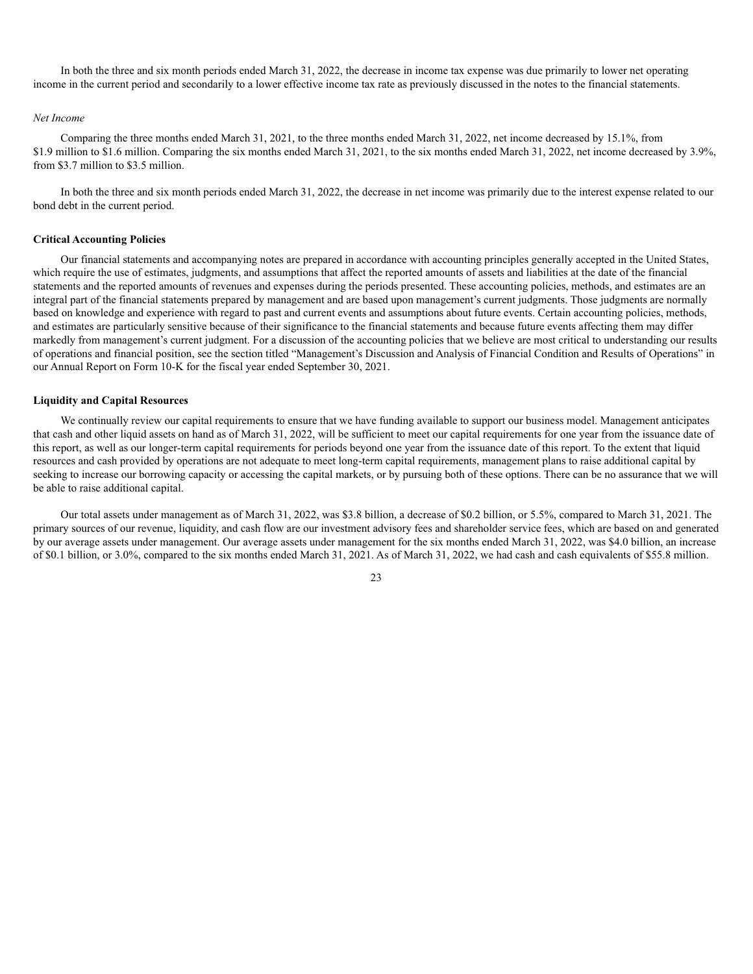In both the three and six month periods ended March 31, 2022, the decrease in income tax expense was due primarily to lower net operating income in the current period and secondarily to a lower effective income tax rate as previously discussed in the notes to the financial statements.

# *Net Income*

Comparing the three months ended March 31, 2021, to the three months ended March 31, 2022, net income decreased by 15.1%, from \$1.9 million to \$1.6 million. Comparing the six months ended March 31, 2021, to the six months ended March 31, 2022, net income decreased by 3.9%, from \$3.7 million to \$3.5 million.

In both the three and six month periods ended March 31, 2022, the decrease in net income was primarily due to the interest expense related to our bond debt in the current period.

#### **Critical Accounting Policies**

Our financial statements and accompanying notes are prepared in accordance with accounting principles generally accepted in the United States, which require the use of estimates, judgments, and assumptions that affect the reported amounts of assets and liabilities at the date of the financial statements and the reported amounts of revenues and expenses during the periods presented. These accounting policies, methods, and estimates are an integral part of the financial statements prepared by management and are based upon management's current judgments. Those judgments are normally based on knowledge and experience with regard to past and current events and assumptions about future events. Certain accounting policies, methods, and estimates are particularly sensitive because of their significance to the financial statements and because future events affecting them may differ markedly from management's current judgment. For a discussion of the accounting policies that we believe are most critical to understanding our results of operations and financial position, see the section titled "Management's Discussion and Analysis of Financial Condition and Results of Operations" in our Annual Report on Form 10-K for the fiscal year ended September 30, 2021.

#### **Liquidity and Capital Resources**

We continually review our capital requirements to ensure that we have funding available to support our business model. Management anticipates that cash and other liquid assets on hand as of March 31, 2022, will be sufficient to meet our capital requirements for one year from the issuance date of this report, as well as our longer-term capital requirements for periods beyond one year from the issuance date of this report. To the extent that liquid resources and cash provided by operations are not adequate to meet long-term capital requirements, management plans to raise additional capital by seeking to increase our borrowing capacity or accessing the capital markets, or by pursuing both of these options. There can be no assurance that we will be able to raise additional capital.

Our total assets under management as of March 31, 2022, was \$3.8 billion, a decrease of \$0.2 billion, or 5.5%, compared to March 31, 2021. The primary sources of our revenue, liquidity, and cash flow are our investment advisory fees and shareholder service fees, which are based on and generated by our average assets under management. Our average assets under management for the six months ended March 31, 2022, was \$4.0 billion, an increase of \$0.1 billion, or 3.0%, compared to the six months ended March 31, 2021. As of March 31, 2022, we had cash and cash equivalents of \$55.8 million.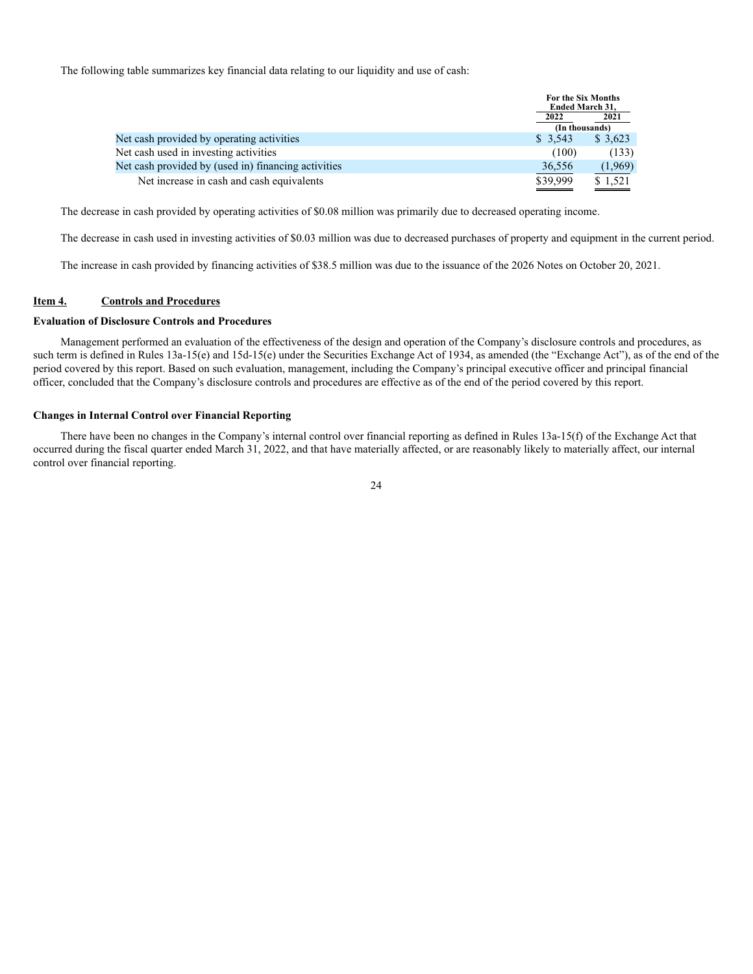The following table summarizes key financial data relating to our liquidity and use of cash:

|                                                     |                | For the Six Months<br>Ended March 31, |  |
|-----------------------------------------------------|----------------|---------------------------------------|--|
|                                                     | 2022           | 2021                                  |  |
|                                                     | (In thousands) |                                       |  |
| Net cash provided by operating activities           | \$3,543        | \$3,623                               |  |
| Net cash used in investing activities               | (100)          | (133)                                 |  |
| Net cash provided by (used in) financing activities | 36,556         | (1,969)                               |  |
| Net increase in cash and cash equivalents           | \$39,999       | \$1,521                               |  |

The decrease in cash provided by operating activities of \$0.08 million was primarily due to decreased operating income.

The decrease in cash used in investing activities of \$0.03 million was due to decreased purchases of property and equipment in the current period.

The increase in cash provided by financing activities of \$38.5 million was due to the issuance of the 2026 Notes on October 20, 2021.

#### **Item 4. Controls and Procedures**

#### **Evaluation of Disclosure Controls and Procedures**

Management performed an evaluation of the effectiveness of the design and operation of the Company's disclosure controls and procedures, as such term is defined in Rules 13a-15(e) and 15d-15(e) under the Securities Exchange Act of 1934, as amended (the "Exchange Act"), as of the end of the period covered by this report. Based on such evaluation, management, including the Company's principal executive officer and principal financial officer, concluded that the Company's disclosure controls and procedures are effective as of the end of the period covered by this report.

# **Changes in Internal Control over Financial Reporting**

There have been no changes in the Company's internal control over financial reporting as defined in Rules 13a-15(f) of the Exchange Act that occurred during the fiscal quarter ended March 31, 2022, and that have materially affected, or are reasonably likely to materially affect, our internal control over financial reporting.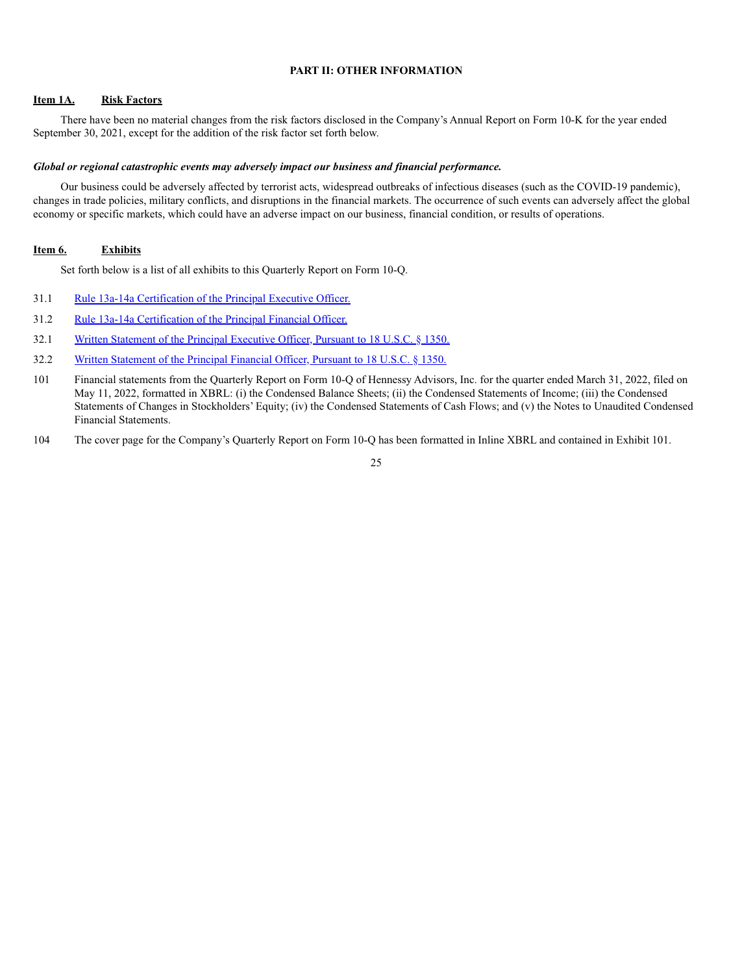#### **PART II: OTHER INFORMATION**

# **Item 1A. Risk Factors**

There have been no material changes from the risk factors disclosed in the Company's Annual Report on Form 10-K for the year ended September 30, 2021, except for the addition of the risk factor set forth below.

#### *Global or regional catastrophic events may adversely impact our business and financial performance.*

Our business could be adversely affected by terrorist acts, widespread outbreaks of infectious diseases (such as the COVID-19 pandemic), changes in trade policies, military conflicts, and disruptions in the financial markets. The occurrence of such events can adversely affect the global economy or specific markets, which could have an adverse impact on our business, financial condition, or results of operations.

# **Item 6. Exhibits**

Set forth below is a list of all exhibits to this Quarterly Report on Form 10-Q.

- 31.1 Rule 13a-14a Certification of the Principal Executive Officer.
- 31.2 Rule 13a-14a Certification of the Principal Financial Officer.
- 32.1 Written Statement of the Principal Executive Officer, Pursuant to 18 U.S.C. § 1350.
- 32.2 Written Statement of the Principal Financial Officer, Pursuant to 18 U.S.C. § 1350.
- 101 Financial statements from the Quarterly Report on Form 10-Q of Hennessy Advisors, Inc. for the quarter ended March 31, 2022, filed on May 11, 2022, formatted in XBRL: (i) the Condensed Balance Sheets; (ii) the Condensed Statements of Income; (iii) the Condensed Statements of Changes in Stockholders' Equity; (iv) the Condensed Statements of Cash Flows; and (v) the Notes to Unaudited Condensed Financial Statements.
- 104 The cover page for the Company's Quarterly Report on Form 10-Q has been formatted in Inline XBRL and contained in Exhibit 101.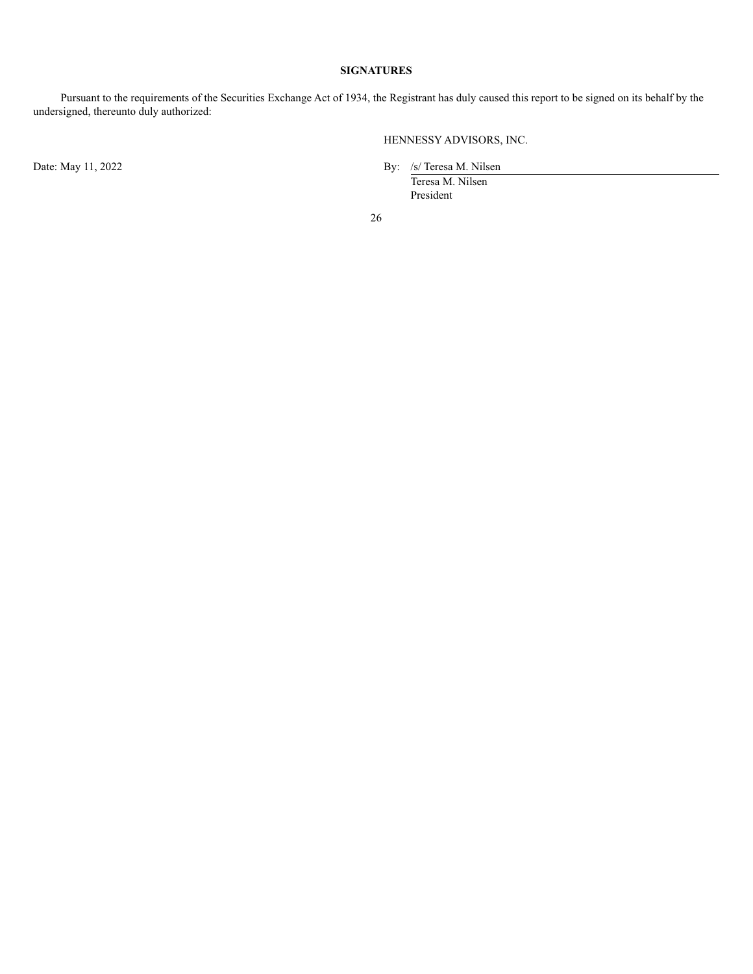# **SIGNATURES**

Pursuant to the requirements of the Securities Exchange Act of 1934, the Registrant has duly caused this report to be signed on its behalf by the undersigned, thereunto duly authorized:

HENNESSY ADVISORS, INC.

Date: May 11, 2022 By: /s/ Teresa M. Nilsen

 Teresa M. Nilsen President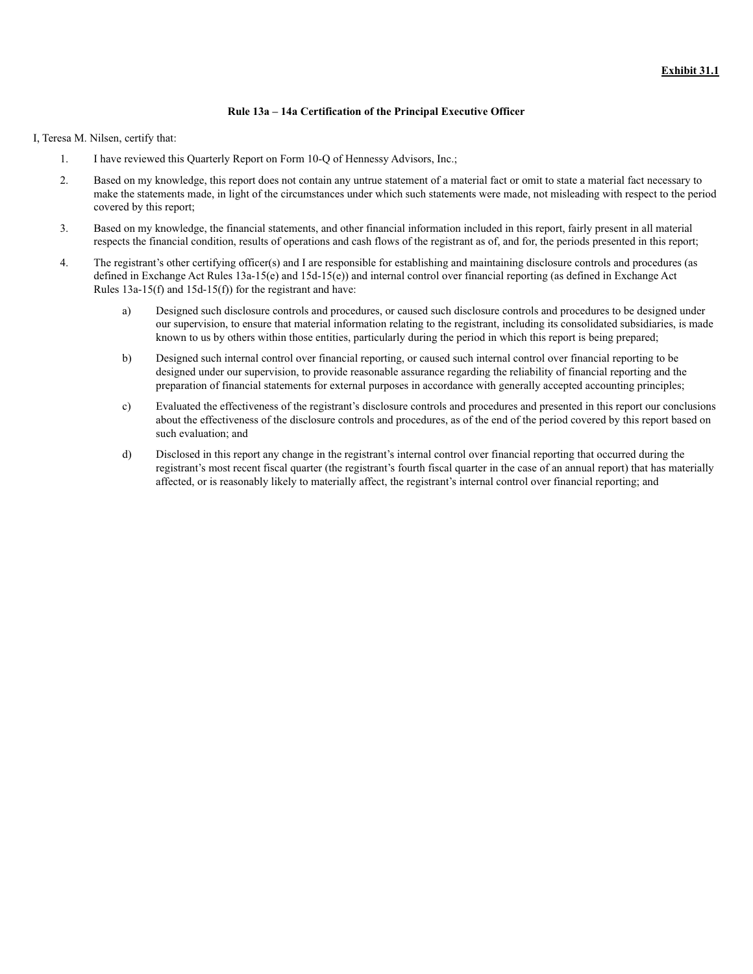# **Rule 13a – 14a Certification of the Principal Executive Officer**

I, Teresa M. Nilsen, certify that:

- 1. I have reviewed this Quarterly Report on Form 10-Q of Hennessy Advisors, Inc.;
- 2. Based on my knowledge, this report does not contain any untrue statement of a material fact or omit to state a material fact necessary to make the statements made, in light of the circumstances under which such statements were made, not misleading with respect to the period covered by this report;
- 3. Based on my knowledge, the financial statements, and other financial information included in this report, fairly present in all material respects the financial condition, results of operations and cash flows of the registrant as of, and for, the periods presented in this report;
- 4. The registrant's other certifying officer(s) and I are responsible for establishing and maintaining disclosure controls and procedures (as defined in Exchange Act Rules 13a-15(e) and 15d-15(e)) and internal control over financial reporting (as defined in Exchange Act Rules 13a-15(f) and 15d-15(f)) for the registrant and have:
	- a) Designed such disclosure controls and procedures, or caused such disclosure controls and procedures to be designed under our supervision, to ensure that material information relating to the registrant, including its consolidated subsidiaries, is made known to us by others within those entities, particularly during the period in which this report is being prepared;
	- b) Designed such internal control over financial reporting, or caused such internal control over financial reporting to be designed under our supervision, to provide reasonable assurance regarding the reliability of financial reporting and the preparation of financial statements for external purposes in accordance with generally accepted accounting principles;
	- c) Evaluated the effectiveness of the registrant's disclosure controls and procedures and presented in this report our conclusions about the effectiveness of the disclosure controls and procedures, as of the end of the period covered by this report based on such evaluation; and
	- d) Disclosed in this report any change in the registrant's internal control over financial reporting that occurred during the registrant's most recent fiscal quarter (the registrant's fourth fiscal quarter in the case of an annual report) that has materially affected, or is reasonably likely to materially affect, the registrant's internal control over financial reporting; and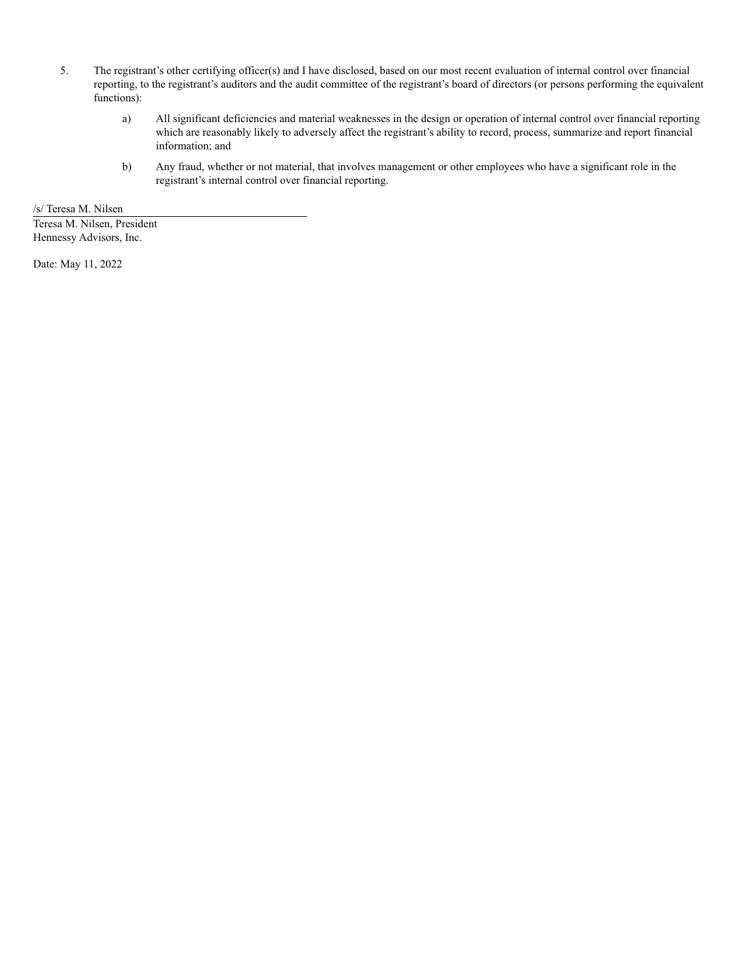- 5. The registrant's other certifying officer(s) and I have disclosed, based on our most recent evaluation of internal control over financial reporting, to the registrant's auditors and the audit committee of the registrant's board of directors (or persons performing the equivalent functions):
	- a) All significant deficiencies and material weaknesses in the design or operation of internal control over financial reporting which are reasonably likely to adversely affect the registrant's ability to record, process, summarize and report financial information; and
	- b) Any fraud, whether or not material, that involves management or other employees who have a significant role in the registrant's internal control over financial reporting.

/s/ Teresa M. Nilsen

Teresa M. Nilsen, President Hennessy Advisors, Inc.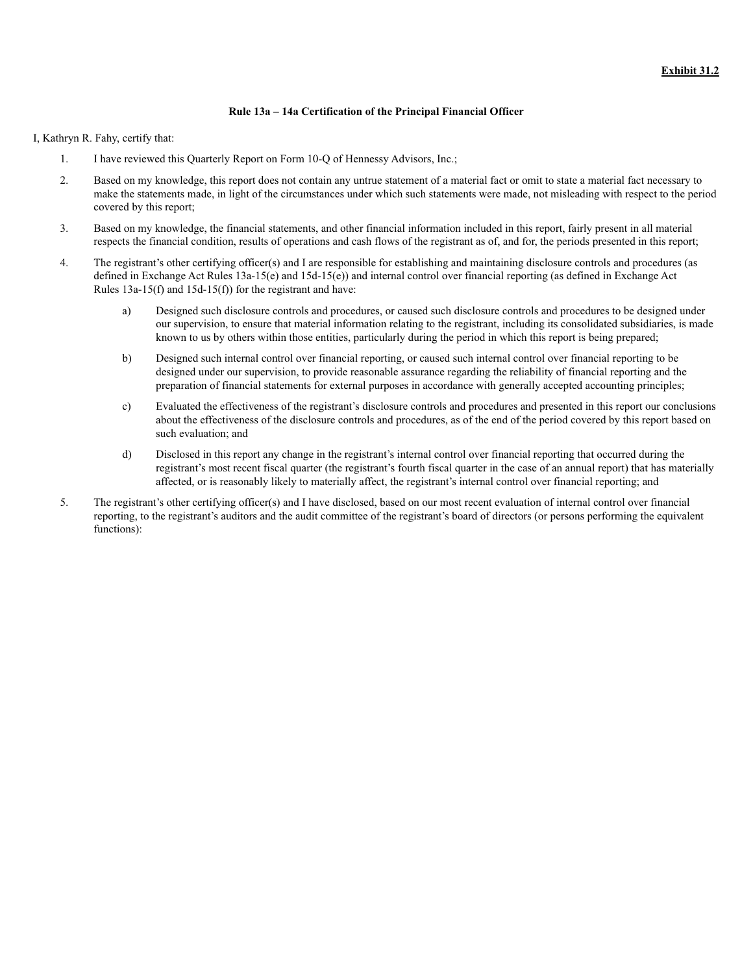# **Rule 13a – 14a Certification of the Principal Financial Officer**

I, Kathryn R. Fahy, certify that:

- 1. I have reviewed this Quarterly Report on Form 10-Q of Hennessy Advisors, Inc.;
- 2. Based on my knowledge, this report does not contain any untrue statement of a material fact or omit to state a material fact necessary to make the statements made, in light of the circumstances under which such statements were made, not misleading with respect to the period covered by this report;
- 3. Based on my knowledge, the financial statements, and other financial information included in this report, fairly present in all material respects the financial condition, results of operations and cash flows of the registrant as of, and for, the periods presented in this report;
- 4. The registrant's other certifying officer(s) and I are responsible for establishing and maintaining disclosure controls and procedures (as defined in Exchange Act Rules 13a-15(e) and 15d-15(e)) and internal control over financial reporting (as defined in Exchange Act Rules 13a-15(f) and 15d-15(f)) for the registrant and have:
	- a) Designed such disclosure controls and procedures, or caused such disclosure controls and procedures to be designed under our supervision, to ensure that material information relating to the registrant, including its consolidated subsidiaries, is made known to us by others within those entities, particularly during the period in which this report is being prepared;
	- b) Designed such internal control over financial reporting, or caused such internal control over financial reporting to be designed under our supervision, to provide reasonable assurance regarding the reliability of financial reporting and the preparation of financial statements for external purposes in accordance with generally accepted accounting principles;
	- c) Evaluated the effectiveness of the registrant's disclosure controls and procedures and presented in this report our conclusions about the effectiveness of the disclosure controls and procedures, as of the end of the period covered by this report based on such evaluation; and
	- d) Disclosed in this report any change in the registrant's internal control over financial reporting that occurred during the registrant's most recent fiscal quarter (the registrant's fourth fiscal quarter in the case of an annual report) that has materially affected, or is reasonably likely to materially affect, the registrant's internal control over financial reporting; and
- 5. The registrant's other certifying officer(s) and I have disclosed, based on our most recent evaluation of internal control over financial reporting, to the registrant's auditors and the audit committee of the registrant's board of directors (or persons performing the equivalent functions):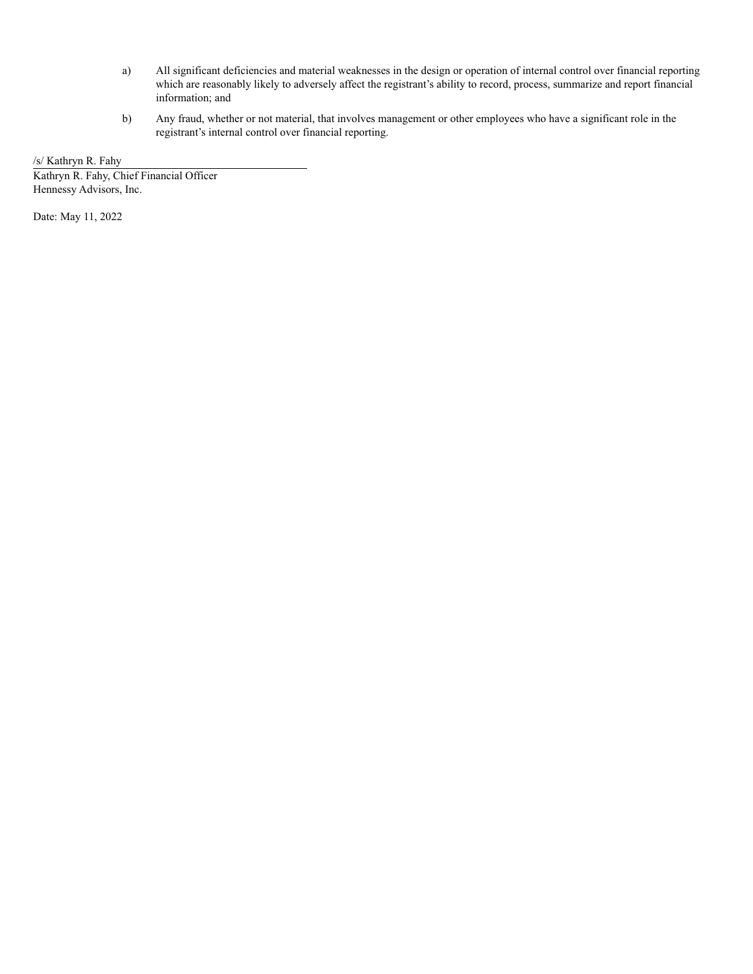- a) All significant deficiencies and material weaknesses in the design or operation of internal control over financial reporting which are reasonably likely to adversely affect the registrant's ability to record, process, summarize and report financial information; and
- b) Any fraud, whether or not material, that involves management or other employees who have a significant role in the registrant's internal control over financial reporting.

/s/ Kathryn R. Fahy

Kathryn R. Fahy, Chief Financial Officer Hennessy Advisors, Inc.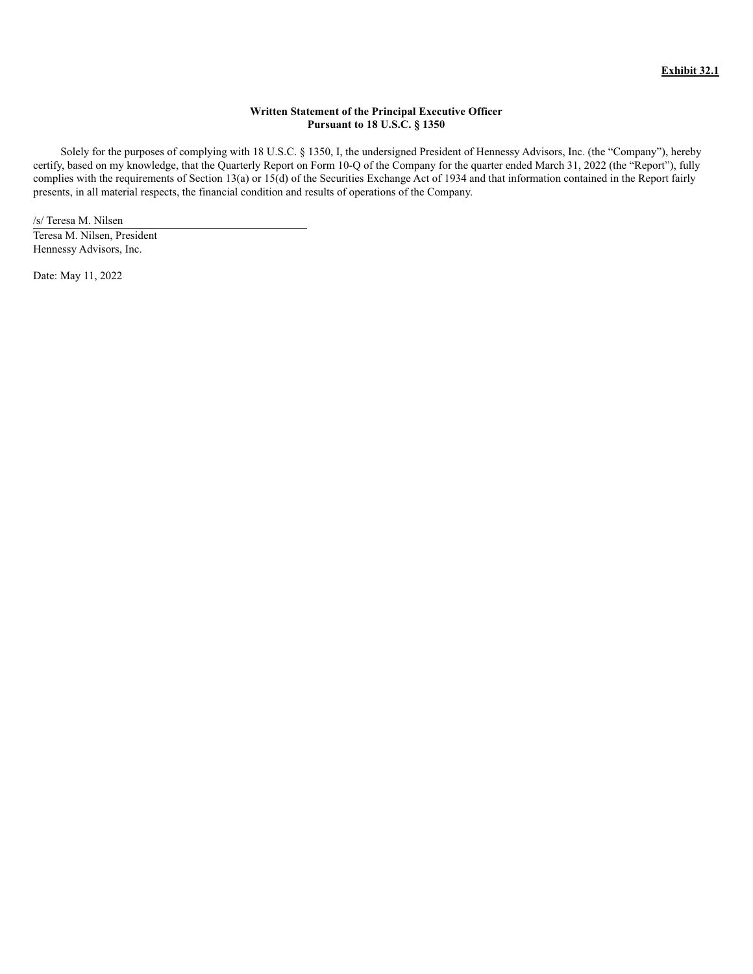#### **Written Statement of the Principal Executive Officer Pursuant to 18 U.S.C. § 1350**

Solely for the purposes of complying with 18 U.S.C. § 1350, I, the undersigned President of Hennessy Advisors, Inc. (the "Company"), hereby certify, based on my knowledge, that the Quarterly Report on Form 10-Q of the Company for the quarter ended March 31, 2022 (the "Report"), fully complies with the requirements of Section 13(a) or 15(d) of the Securities Exchange Act of 1934 and that information contained in the Report fairly presents, in all material respects, the financial condition and results of operations of the Company.

/s/ Teresa M. Nilsen

Teresa M. Nilsen, President Hennessy Advisors, Inc.